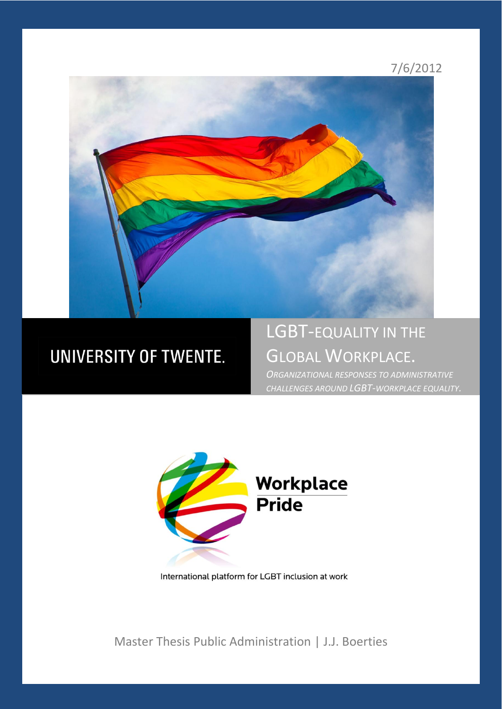## 7/6/2012



# UNIVERSITY OF TWENTE.

# LGBT-EQUALITY IN THE GLOBAL'WORKPLACE.

*ORGANIZATIONAL\*RESPONSES\*TO\*ADMINISTRATIVE\** CHALLENGES AROUND LGBT-WORKPLACE EQUALITY.



International platform for LGBT inclusion at work

Master Thesis Public Administration | J.J. Boerties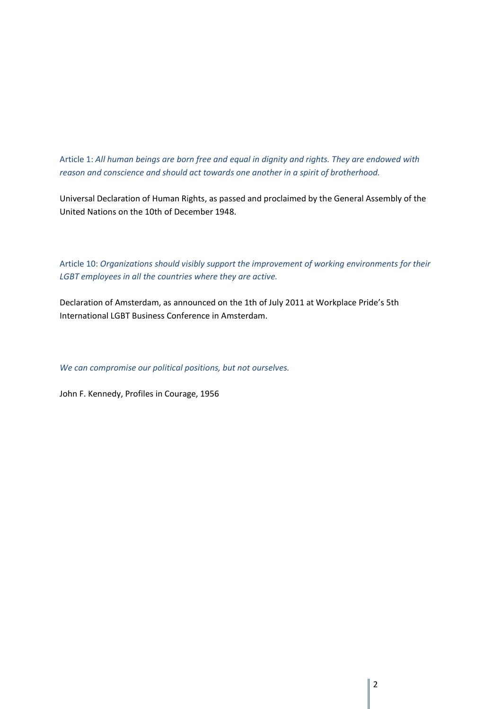Article 1: All human beings are born free and equal in dignity and rights. They are endowed with reason and conscience and should act towards one another in a spirit of brotherhood.

Universal Declaration of Human Rights, as passed and proclaimed by the General Assembly of the United Nations on the 10th of December 1948.

Article 10: *Organizations should visibly support the improvement of working environments for their* LGBT employees in all the countries where they are active.

Declaration of Amsterdam, as announced on the 1th of July 2011 at Workplace Pride's 5th International LGBT Business Conference in Amsterdam.

We can compromise our political positions, but not ourselves.

John F. Kennedy, Profiles in Courage, 1956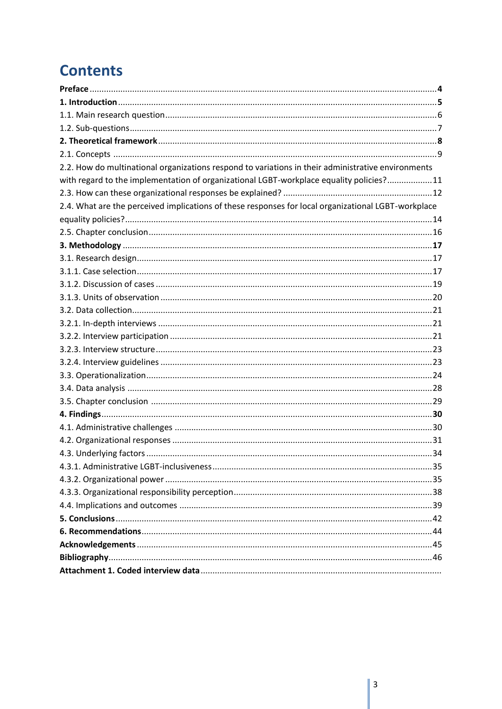## **Contents**

| 2.2. How do multinational organizations respond to variations in their administrative environments  |  |
|-----------------------------------------------------------------------------------------------------|--|
| with regard to the implementation of organizational LGBT-workplace equality policies?11             |  |
|                                                                                                     |  |
| 2.4. What are the perceived implications of these responses for local organizational LGBT-workplace |  |
|                                                                                                     |  |
|                                                                                                     |  |
|                                                                                                     |  |
|                                                                                                     |  |
|                                                                                                     |  |
|                                                                                                     |  |
|                                                                                                     |  |
|                                                                                                     |  |
|                                                                                                     |  |
|                                                                                                     |  |
|                                                                                                     |  |
|                                                                                                     |  |
|                                                                                                     |  |
|                                                                                                     |  |
|                                                                                                     |  |
|                                                                                                     |  |
|                                                                                                     |  |
|                                                                                                     |  |
|                                                                                                     |  |
|                                                                                                     |  |
|                                                                                                     |  |
|                                                                                                     |  |
|                                                                                                     |  |
|                                                                                                     |  |
|                                                                                                     |  |
|                                                                                                     |  |
|                                                                                                     |  |
|                                                                                                     |  |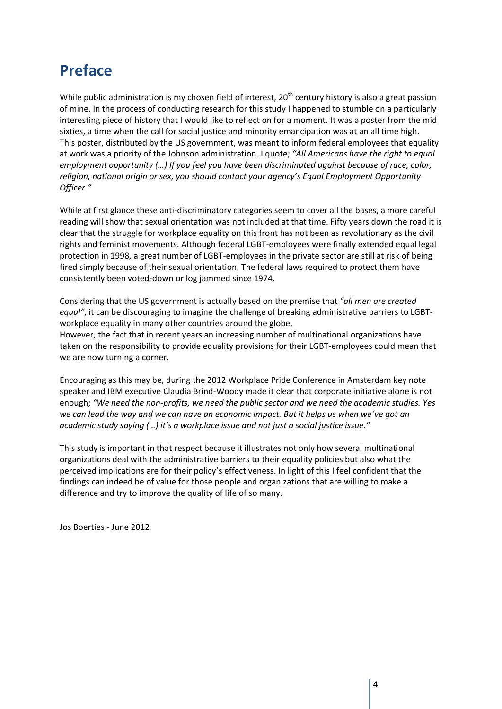## **Preface**

While public administration is my chosen field of interest, 20<sup>th</sup> century history is also a great passion of mine. In the process of conducting research for this study I happened to stumble on a particularly interesting piece of history that I would like to reflect on for a moment. It was a poster from the mid sixties, a time when the call for social justice and minority emancipation was at an all time high. This poster, distributed by the US government, was meant to inform federal employees that equality at work was a priority of the Johnson administration. I quote; "All Americans have the right to equal *employment opportunity (...)* If you feel you have been discriminated against because of race, color, religion, national origin or sex, you should contact your *agency's Equal Employment Opportunity Officer."* 

While at first glance these anti-discriminatory categories seem to cover all the bases, a more careful reading will show that sexual orientation was not included at that time. Fifty years down the road it is clear that the struggle for workplace equality on this front has not been as revolutionary as the civil rights and feminist movements. Although federal LGBT-employees were finally extended equal legal protection in 1998, a great number of LGBT-employees in the private sector are still at risk of being fired simply because of their sexual orientation. The federal laws required to protect them have consistently been voted-down or log jammed since 1974.

Considering that the US government is actually based on the premise that "all men are created equal", it can be discouraging to imagine the challenge of breaking administrative barriers to LGBTworkplace equality in many other countries around the globe.

However, the fact that in recent years an increasing number of multinational organizations have taken on the responsibility to provide equality provisions for their LGBT-employees could mean that we are now turning a corner.

Encouraging as this may be, during the 2012 Workplace Pride Conference in Amsterdam key note speaker and IBM executive Claudia Brind-Woody made it clear that corporate initiative alone is not enough; "We need the non-profits, we need the public sector and we need the academic studies. Yes we can lead the way and we can have an economic impact. But it helps us when we've got an *academic study saying (...) it's a workplace issue and not just a social justice issue."* 

This study is important in that respect because it illustrates not only how several multinational organizations deal with the administrative barriers to their equality policies but also what the perceived implications are for their policy's effectiveness. In light of this I feel confident that the findings can indeed be of value for those people and organizations that are willing to make a difference and try to improve the quality of life of so many.

Jos Boerties - June 2012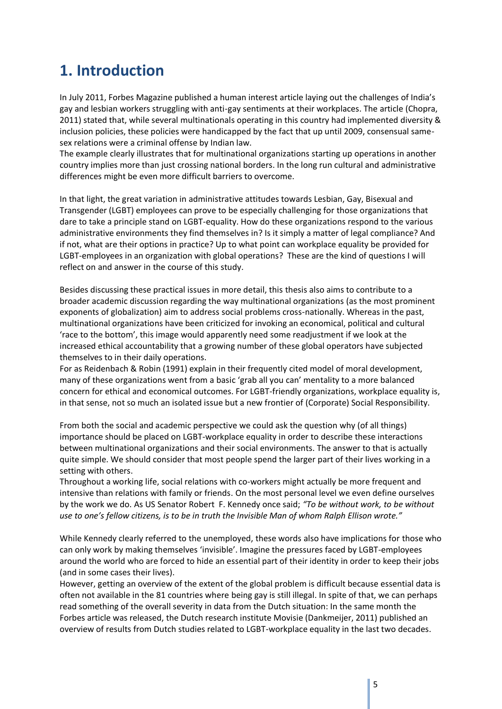## **1.'Introduction**

In July 2011, Forbes Magazine published a human interest article laying out the challenges of India's gay and lesbian workers struggling with anti-gay sentiments at their workplaces. The article (Chopra, 2011) stated that, while several multinationals operating in this country had implemented diversity & inclusion policies, these policies were handicapped by the fact that up until 2009, consensual samesex relations were a criminal offense by Indian law.

The example clearly illustrates that for multinational organizations starting up operations in another country implies more than just crossing national borders. In the long run cultural and administrative differences might be even more difficult barriers to overcome.

In that light, the great variation in administrative attitudes towards Lesbian, Gay, Bisexual and Transgender (LGBT) employees can prove to be especially challenging for those organizations that dare to take a principle stand on LGBT-equality. How do these organizations respond to the various administrative environments they find themselves in? Is it simply a matter of legal compliance? And if not, what are their options in practice? Up to what point can workplace equality be provided for LGBT-employees in an organization with global operations? These are the kind of questions I will reflect on and answer in the course of this study.

Besides discussing these practical issues in more detail, this thesis also aims to contribute to a broader academic discussion regarding the way multinational organizations (as the most prominent exponents of globalization) aim to address social problems cross-nationally. Whereas in the past, multinational organizations have been criticized for invoking an economical, political and cultural 'race to the bottom', this image would apparently need some readjustment if we look at the increased ethical accountability that a growing number of these global operators have subjected themselves to in their daily operations.

For as Reidenbach & Robin (1991) explain in their frequently cited model of moral development, many of these organizations went from a basic 'grab all you can' mentality to a more balanced concern for ethical and economical outcomes. For LGBT-friendly organizations, workplace equality is, in that sense, not so much an isolated issue but a new frontier of (Corporate) Social Responsibility.

From both the social and academic perspective we could ask the question why (of all things) importance should be placed on LGBT-workplace equality in order to describe these interactions between multinational organizations and their social environments. The answer to that is actually quite simple. We should consider that most people spend the larger part of their lives working in a setting with others.

Throughout a working life, social relations with co-workers might actually be more frequent and intensive than relations with family or friends. On the most personal level we even define ourselves by the work we do. As US Senator Robert F. Kennedy once said; "To be without work, to be without use to one's fellow citizens, is to be in truth the Invisible Man of whom Ralph Ellison wrote."

While Kennedy clearly referred to the unemployed, these words also have implications for those who can only work by making themselves 'invisible'. Imagine the pressures faced by LGBT-employees around the world who are forced to hide an essential part of their identity in order to keep their jobs (and in some cases their lives).

However, getting an overview of the extent of the global problem is difficult because essential data is often not available in the 81 countries where being gay is still illegal. In spite of that, we can perhaps' read something of the overall severity in data from the Dutch situation: In the same month the Forbes article was released, the Dutch research institute Movisie (Dankmeijer, 2011) published an overview of results from Dutch studies related to LGBT-workplace equality in the last two decades.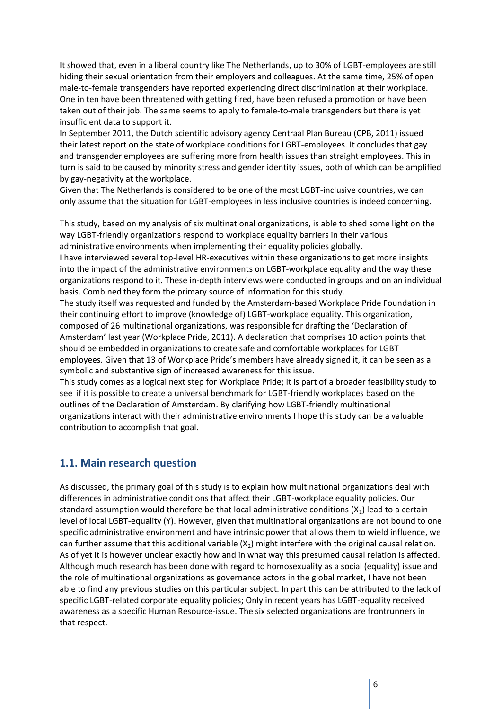It showed that, even in a liberal country like The Netherlands, up to 30% of LGBT-employees are still hiding their sexual orientation from their employers and colleagues. At the same time, 25% of open male-to-female transgenders have reported experiencing direct discrimination at their workplace. One in ten have been threatened with getting fired, have been refused a promotion or have been' taken out of their job. The same seems to apply to female-to-male transgenders but there is yet insufficient data to support it.

In September 2011, the Dutch scientific advisory agency Centraal Plan Bureau (CPB, 2011) issued their latest report on the state of workplace conditions for LGBT-employees. It concludes that gay and transgender employees are suffering more from health issues than straight employees. This in turn is said to be caused by minority stress and gender identity issues, both of which can be amplified by gay-negativity at the workplace.

Given that The Netherlands is considered to be one of the most LGBT-inclusive countries, we can only assume that the situation for LGBT-employees in less inclusive countries is indeed concerning.

This study, based on my analysis of six multinational organizations, is able to shed some light on the way LGBT-friendly organizations respond to workplace equality barriers in their various administrative environments when implementing their equality policies globally.

I have interviewed several top-level HR-executives within these organizations to get more insights into the impact of the administrative environments on LGBT-workplace equality and the way these organizations respond to it. These in-depth interviews were conducted in groups and on an individual basis. Combined they form the primary source of information for this study.

The study itself was requested and funded by the Amsterdam-based Workplace Pride Foundation in their continuing effort to improve (knowledge of) LGBT-workplace equality. This organization, composed of 26 multinational organizations, was responsible for drafting the 'Declaration of Amsterdam' last year (Workplace Pride, 2011). A declaration that comprises 10 action points that should be embedded in organizations to create safe and comfortable workplaces for LGBT employees. Given that 13 of Workplace Pride's members have already signed it, it can be seen as a symbolic and substantive sign of increased awareness for this issue.

This study comes as a logical next step for Workplace Pride; It is part of a broader feasibility study to see if it is possible to create a universal benchmark for LGBT-friendly workplaces based on the outlines of the Declaration of Amsterdam. By clarifying how LGBT-friendly multinational organizations interact with their administrative environments I hope this study can be a valuable contribution to accomplish that goal.

#### **1.1. Main research question**

As discussed, the primary goal of this study is to explain how multinational organizations deal with differences in administrative conditions that affect their LGBT-workplace equality policies. Our standard assumption would therefore be that local administrative conditions  $(X_1)$  lead to a certain level of local LGBT-equality (Y). However, given that multinational organizations are not bound to one specific administrative environment and have intrinsic power that allows them to wield influence, we can further assume that this additional variable  $(X_2)$  might interfere with the original causal relation. As of yet it is however unclear exactly how and in what way this presumed causal relation is affected. Although much research has been done with regard to homosexuality as a social (equality) issue and the role of multinational organizations as governance actors in the global market, I have not been able to find any previous studies on this particular subject. In part this can be attributed to the lack of specific LGBT-related corporate equality policies; Only in recent years has LGBT-equality received awareness as a specific Human Resource-issue. The six selected organizations are frontrunners in that respect.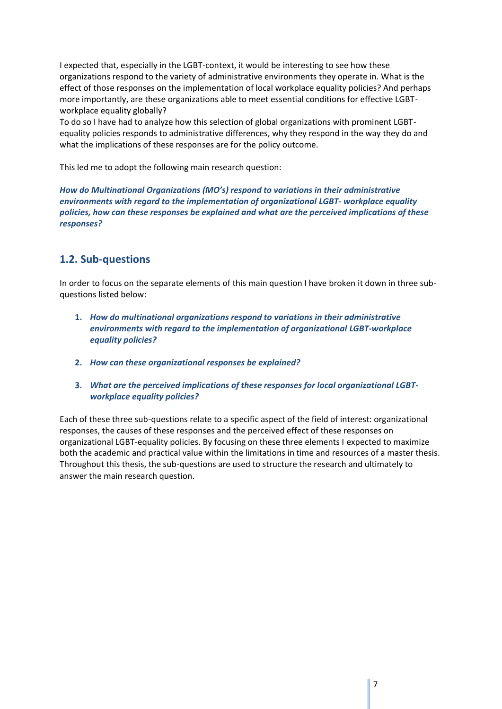I expected that, especially in the LGBT-context, it would be interesting to see how these organizations' respond to the variety of administrative environments they operate in. What is the effect of those responses on the implementation of local workplace equality policies? And perhaps more importantly, are these organizations able to meet essential conditions for effective LGBTworkplace equality globally?

To do so I have had to analyze how this selection of global organizations with prominent LGBTequality policies responds to administrative differences, why they respond in the way they do and what the implications of these responses are for the policy outcome.

This led me to adopt the following main research question:

*How do Multinational Organizations (MO's) respond to variations in their administrative environments\*with\*regard\*to\*the\*implementation\*of\*organizational\*LGBT8 workplace\*equality\* policies,\*how\*can\*these\*responses\*be\*explained\*and\*what\*are\*the\*perceived\*implications\*of\*these\* responses?*

### **1.2. Sub-questions**

In order to focus on the separate elements of this main question I have broken it down in three subquestions listed below:

- **1.** How do multinational organizations respond to variations in their administrative environments with regard to the implementation of organizational LGBT-workplace *equality\*policies?*
- 2. How can these organizational responses be explained?
- 3. What are the perceived implications of these responses for local organizational LGBT*workplace\*equality\*policies?*

Each of these three sub-questions relate to a specific aspect of the field of interest: organizational responses, the causes of these responses and the perceived effect of these responses on organizational LGBT-equality policies. By focusing on these three elements I expected to maximize both the academic and practical value within the limitations in time and resources of a master thesis. Throughout this thesis, the sub-questions are used to structure the research and ultimately to answer the main research question.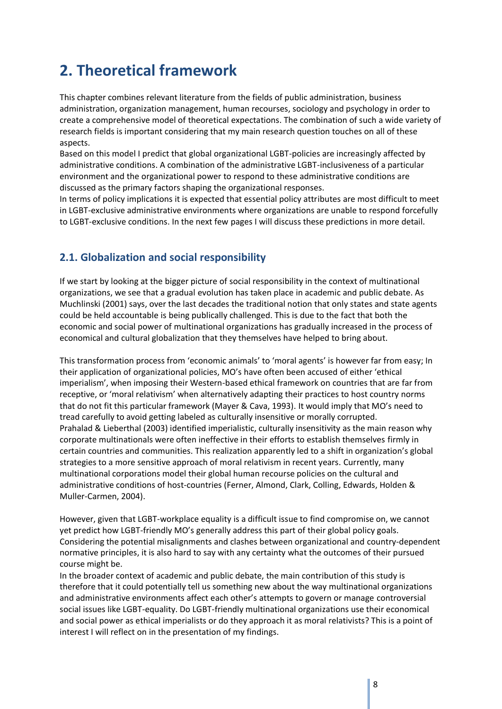## **2.'Theoretical'framework**

This chapter combines relevant literature from the fields of public administration, business administration, organization management, human recourses, sociology and psychology in order to create a comprehensive model of theoretical expectations. The combination of such a wide variety of research fields is important considering that my main research question touches on all of these aspects.

Based on this model I predict that global organizational LGBT-policies are increasingly affected by administrative conditions. A combination of the administrative LGBT-inclusiveness of a particular environment and the organizational power to respond to these administrative conditions are discussed as the primary factors shaping the organizational responses.

In terms of policy implications it is expected that essential policy attributes are most difficult to meet in LGBT-exclusive administrative environments where organizations are unable to respond forcefully to LGBT-exclusive conditions. In the next few pages I will discuss these predictions in more detail.

### **2.1.'Globalization'and social'responsibility**

If we start by looking at the bigger picture of social responsibility in the context of multinational organizations, we see that a gradual evolution has taken place in academic and public debate. As Muchlinski (2001) says, over the last decades the traditional notion that only states and state agents could be held accountable is being publically challenged. This is due to the fact that both the economic and social power of multinational organizations has gradually increased in the process of economical and cultural globalization that they themselves have helped to bring about.

This transformation process from 'economic animals' to 'moral agents' is however far from easy; In their application of organizational policies, MO's have often been accused of either 'ethical imperialism', when imposing their Western-based ethical framework on countries that are far from receptive, or 'moral relativism' when alternatively adapting their practices to host country norms that do not fit this particular framework (Mayer & Cava, 1993). It would imply that MO's need to tread carefully to avoid getting labeled as culturally insensitive or morally corrupted. Prahalad & Lieberthal (2003) identified imperialistic, culturally insensitivity as the main reason why corporate multinationals were often ineffective in their efforts to establish themselves firmly in certain countries and communities. This realization apparently led to a shift in organization's global strategies to a more sensitive approach of moral relativism in recent years. Currently, many multinational corporations model their global human recourse policies on the cultural and administrative conditions of host-countries (Ferner, Almond, Clark, Colling, Edwards, Holden & Muller-Carmen, 2004).

However, given that LGBT-workplace equality is a difficult issue to find compromise on, we cannot yet predict how LGBT-friendly MO's generally address this part of their global policy goals. Considering the potential misalignments and clashes between organizational and country-dependent normative principles, it is also hard to say with any certainty what the outcomes of their pursued course might be.

In the broader context of academic and public debate, the main contribution of this study is therefore that it could potentially tell us something new about the way multinational organizations and administrative environments affect each other's attempts to govern or manage controversial social issues like LGBT-equality. Do LGBT-friendly multinational organizations use their economical and social power as ethical imperialists or do they approach it as moral relativists? This is a point of interest I will reflect on in the presentation of my findings.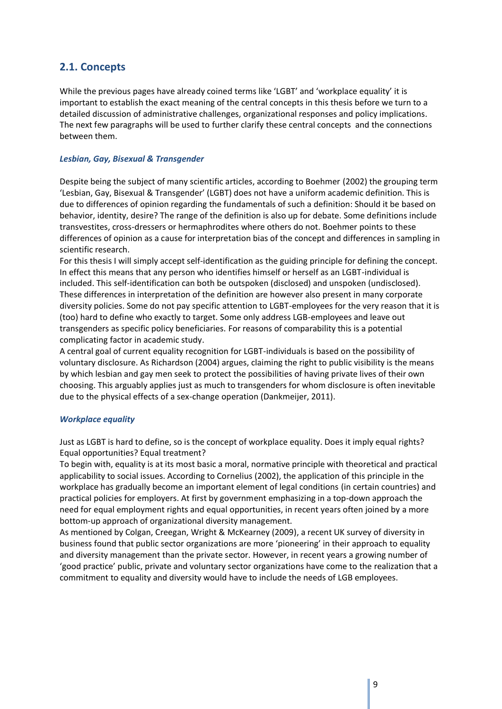### 2.1. Concepts

While the previous pages have already coined terms like 'LGBT' and 'workplace equality' it is important to establish the exact meaning of the central concepts in this thesis before we turn to a detailed discussion of administrative challenges, organizational responses and policy implications. The next few paragraphs will be used to further clarify these central concepts and the connections between them.

#### *Lesbian,\*Gay,\*Bisexual\*&\*Transgender*

Despite being the subject of many scientific articles, according to Boehmer (2002) the grouping term 'Lesbian, Gay, Bisexual & Transgender' (LGBT) does not have a uniform academic definition. This is due to differences of opinion regarding the fundamentals of such a definition: Should it be based on behavior, identity, desire? The range of the definition is also up for debate. Some definitions include transvestites, cross-dressers or hermaphrodites where others do not. Boehmer points to these differences of opinion as a cause for interpretation bias of the concept and differences in sampling in scientific research.

For this thesis I will simply accept self-identification as the guiding principle for defining the concept. In effect this means that any person who identifies himself or herself as an LGBT-individual is included. This self-identification can both be outspoken (disclosed) and unspoken (undisclosed). These differences in interpretation of the definition are however also present in many corporate diversity policies. Some do not pay specific attention to LGBT-employees for the very reason that it is (too) hard to define who exactly to target. Some only address LGB-employees and leave out transgenders as specific policy beneficiaries. For reasons of comparability this is a potential complicating factor in academic study.

A central goal of current equality recognition for LGBT-individuals is based on the possibility of voluntary disclosure. As Richardson (2004) argues, claiming the right to public visibility is the means by which lesbian and gay men seek to protect the possibilities of having private lives of their own choosing. This arguably applies just as much to transgenders for whom disclosure is often inevitable due to the physical effects of a sex-change operation (Dankmeijer, 2011).

#### *Workplace\*equality*

Just as LGBT is hard to define, so is the concept of workplace equality. Does it imply equal rights? Equal opportunities? Equal treatment?

To begin with, equality is at its most basic a moral, normative principle with theoretical and practical applicability to social issues. According to Cornelius (2002), the application of this principle in the workplace has gradually become an important element of legal conditions (in certain countries) and practical policies for employers. At first by government emphasizing in a top-down approach the need for equal employment rights and equal opportunities, in recent years often joined by a more bottom-up approach of organizational diversity management.

As mentioned by Colgan, Creegan, Wright & McKearney (2009), a recent UK survey of diversity in business found that public sector organizations are more 'pioneering' in their approach to equality and diversity management than the private sector. However, in recent years a growing number of 'good practice' public, private and voluntary sector organizations have come to the realization that a commitment to equality and diversity would have to include the needs of LGB employees.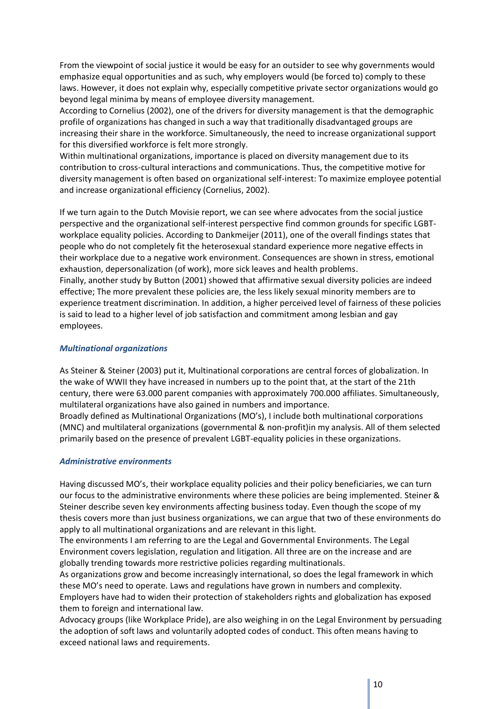From the viewpoint of social justice it would be easy for an outsider to see why governments would emphasize equal opportunities and as such, why employers would (be forced to) comply to these laws. However, it does not explain why, especially competitive private sector organizations would go beyond legal minima by means of employee diversity management.

According to Cornelius (2002), one of the drivers for diversity management is that the demographic profile of organizations has changed in such a way that traditionally disadvantaged groups are increasing their share in the workforce. Simultaneously, the need to increase organizational support for this diversified workforce is felt more strongly.

Within multinational organizations, importance is placed on diversity management due to its contribution to cross-cultural interactions and communications. Thus, the competitive motive for diversity management is often based on organizational self-interest: To maximize employee potential and increase organizational efficiency (Cornelius, 2002).

If we turn again to the Dutch Movisie report, we can see where advocates from the social justice perspective and the organizational self-interest perspective find common grounds for specific LGBTworkplace equality policies. According to Dankmeijer (2011), one of the overall findings states that people who do not completely fit the heterosexual standard experience more negative effects in their workplace due to a negative work environment. Consequences are shown in stress, emotional exhaustion, depersonalization (of work), more sick leaves and health problems. Finally, another study by Button (2001) showed that affirmative sexual diversity policies are indeed effective; The more prevalent these policies are, the less likely sexual minority members are to experience treatment discrimination. In addition, a higher perceived level of fairness of these policies is said to lead to a higher level of job satisfaction and commitment among lesbian and gay employees.

#### *Multinational\*organizations*

As Steiner & Steiner (2003) put it, Multinational corporations are central forces of globalization. In the wake of WWII they have increased in numbers up to the point that, at the start of the 21th century, there were 63.000 parent companies with approximately 700.000 affiliates. Simultaneously, multilateral organizations have also gained in numbers and importance.

Broadly defined as Multinational Organizations (MO's), I include both multinational corporations (MNC) and multilateral organizations (governmental & non-profit)in my analysis. All of them selected primarily based on the presence of prevalent LGBT-equality policies in these organizations.

#### *Administrative\*environments*

Having discussed MO's, their workplace equality policies and their policy beneficiaries, we can turn our focus to the administrative environments where these policies are being implemented. Steiner & Steiner describe seven key environments affecting business today. Even though the scope of my thesis covers more than just business organizations, we can argue that two of these environments do apply to all multinational organizations and are relevant in this light.

The environments I am referring to are the Legal and Governmental Environments. The Legal Environment covers legislation, regulation and litigation. All three are on the increase and are globally trending towards more restrictive policies regarding multinationals.

As organizations grow and become increasingly international, so does the legal framework in which these MO's need to operate. Laws and regulations have grown in numbers and complexity. Employers have had to widen their protection of stakeholders rights and globalization has exposed them to foreign and international law.

Advocacy groups (like Workplace Pride), are also weighing in on the Legal Environment by persuading the adoption of soft laws and voluntarily adopted codes of conduct. This often means having to exceed national laws and requirements.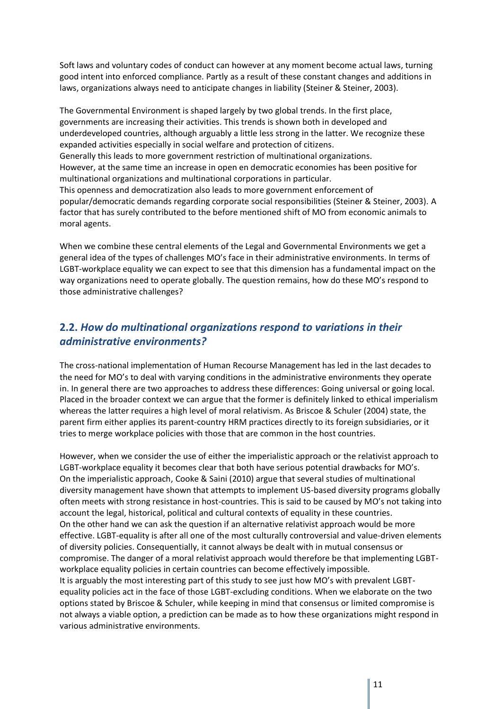Soft laws and voluntary codes of conduct can however at any moment become actual laws, turning good intent into enforced compliance. Partly as a result of these constant changes and additions in laws, organizations always need to anticipate changes in liability (Steiner & Steiner, 2003).

The Governmental Environment is shaped largely by two global trends. In the first place, governments are increasing their activities. This trends is shown both in developed and underdeveloped countries, although arguably a little less strong in the latter. We recognize these expanded activities especially in social welfare and protection of citizens. Generally this leads to more government restriction of multinational organizations. However, at the same time an increase in open en democratic economies has been positive for multinational organizations and multinational corporations in particular. This openness and democratization also leads to more government enforcement of popular/democratic demands regarding corporate social responsibilities (Steiner & Steiner, 2003). A factor that has surely contributed to the before mentioned shift of MO from economic animals to moral agents.

When we combine these central elements of the Legal and Governmental Environments we get a general idea of the types of challenges MO's face in their administrative environments. In terms of LGBT-workplace equality we can expect to see that this dimension has a fundamental impact on the way organizations need to operate globally. The question remains, how do these MO's respond to those administrative challenges?

## **2.2.'***How\*do\*multinational\*organizations\*respond\*to\*variations\*in\*their\* administrative\*environments?*

The cross-national implementation of Human Recourse Management has led in the last decades to the need for MO's to deal with varying conditions in the administrative environments they operate in. In general there are two approaches to address these differences: Going universal or going local. Placed in the broader context we can argue that the former is definitely linked to ethical imperialism whereas the latter requires a high level of moral relativism. As Briscoe & Schuler (2004) state, the parent firm either applies its parent-country HRM practices directly to its foreign subsidiaries, or it tries to merge workplace policies with those that are common in the host countries.

However, when we consider the use of either the imperialistic approach or the relativist approach to LGBT-workplace equality it becomes clear that both have serious potential drawbacks for MO's. On the imperialistic approach, Cooke & Saini (2010) argue that several studies of multinational diversity management have shown that attempts to implement US-based diversity programs globally often meets with strong resistance in host-countries. This is said to be caused by MO's not taking into account the legal, historical, political and cultural contexts of equality in these countries. On the other hand we can ask the question if an alternative relativist approach would be more effective. LGBT-equality is after all one of the most culturally controversial and value-driven elements of diversity policies. Consequentially, it cannot always be dealt with in mutual consensus or compromise. The danger of a moral relativist approach would therefore be that implementing LGBTworkplace equality policies in certain countries can become effectively impossible. It is arguably the most interesting part of this study to see just how MO's with prevalent LGBTequality policies act in the face of those LGBT-excluding conditions. When we elaborate on the two options stated by Briscoe & Schuler, while keeping in mind that consensus or limited compromise is not always a viable option, a prediction can be made as to how these organizations might respond in various administrative environments.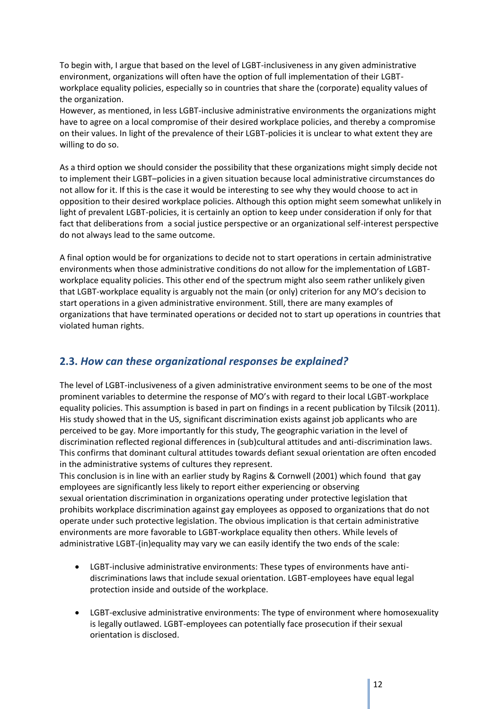To begin with, I argue that based on the level of LGBT-inclusiveness in any given administrative environment, organizations will often have the option of full implementation of their LGBTworkplace equality policies, especially so in countries that share the (corporate) equality values of the organization.

However, as mentioned, in less LGBT-inclusive administrative environments the organizations might have to agree on a local compromise of their desired workplace policies, and thereby a compromise on their values. In light of the prevalence of their LGBT-policies it is unclear to what extent they are willing to do so.

As a third option we should consider the possibility that these organizations might simply decide not to implement their LGBT-policies in a given situation because local administrative circumstances do not allow for it. If this is the case it would be interesting to see why they would choose to act in opposition to their desired workplace policies. Although this option might seem somewhat unlikely in light of prevalent LGBT-policies, it is certainly an option to keep under consideration if only for that fact that deliberations from a social justice perspective or an organizational self-interest perspective do not always lead to the same outcome.

A final option would be for organizations to decide not to start operations in certain administrative environments when those administrative conditions do not allow for the implementation of LGBTworkplace equality policies. This other end of the spectrum might also seem rather unlikely given that LGBT-workplace equality is arguably not the main (or only) criterion for any MO's decision to start operations in a given administrative environment. Still, there are many examples of organizations that have terminated operations or decided not to start up operations in countries that violated human rights.

#### **2.3. How can these organizational responses be explained?**

The level of LGBT-inclusiveness of a given administrative environment seems to be one of the most prominent variables to determine the response of MO's with regard to their local LGBT-workplace equality policies. This assumption is based in part on findings in a recent publication by Tilcsik (2011). His study showed that in the US, significant discrimination exists against job applicants who are perceived to be gay. More importantly for this study, The geographic variation in the level of discrimination reflected regional differences in (sub)cultural attitudes and anti-discrimination laws. This confirms that dominant cultural attitudes towards defiant sexual orientation are often encoded in the administrative systems of cultures they represent.

This conclusion is in line with an earlier study by Ragins & Cornwell (2001) which found that gay employees are significantly less likely to report either experiencing or observing sexual orientation discrimination in organizations operating under protective legislation that prohibits workplace discrimination against gay employees as opposed to organizations that do not operate under such protective legislation. The obvious implication is that certain administrative environments are more favorable to LGBT-workplace equality then others. While levels of administrative LGBT-(in)equality may vary we can easily identify the two ends of the scale:

- LGBT-inclusive administrative environments: These types of environments have antidiscriminations laws that include sexual orientation. LGBT-employees have equal legal protection inside and outside of the workplace.
- LGBT-exclusive administrative environments: The type of environment where homosexuality is legally outlawed. LGBT-employees can potentially face prosecution if their sexual orientation is disclosed.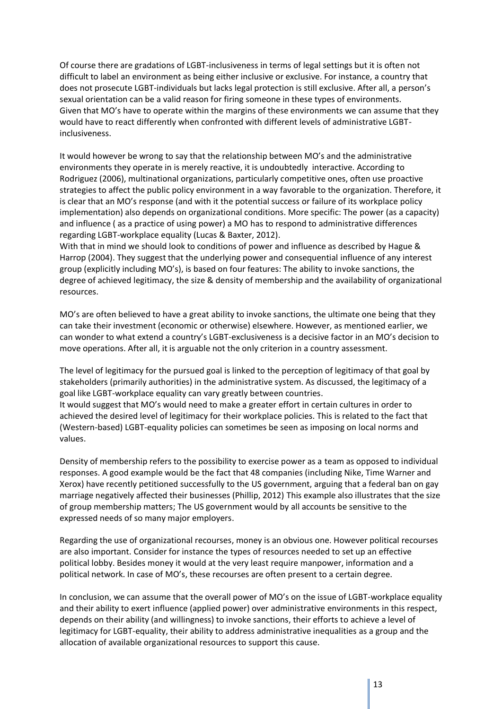Of course there are gradations of LGBT-inclusiveness in terms of legal settings but it is often not difficult to label an environment as being either inclusive or exclusive. For instance, a country that does not prosecute LGBT-individuals but lacks legal protection is still exclusive. After all, a person's sexual orientation can be a valid reason for firing someone in these types of environments. Given that MO's have to operate within the margins of these environments we can assume that they would have to react differently when confronted with different levels of administrative LGBTinclusiveness.

It would however be wrong to say that the relationship between MO's and the administrative environments they operate in is merely reactive, it is undoubtedly interactive. According to Rodriguez (2006), multinational organizations, particularly competitive ones, often use proactive strategies to affect the public policy environment in a way favorable to the organization. Therefore, it is clear that an MO's response (and with it the potential success or failure of its workplace policy implementation) also depends on organizational conditions. More specific: The power (as a capacity) and influence (as a practice of using power) a MO has to respond to administrative differences regarding LGBT-workplace equality (Lucas & Baxter, 2012).

With that in mind we should look to conditions of power and influence as described by Hague & Harrop (2004). They suggest that the underlying power and consequential influence of any interest group (explicitly including MO's), is based on four features: The ability to invoke sanctions, the degree of achieved legitimacy, the size & density of membership and the availability of organizational resources.

MO's are often believed to have a great ability to invoke sanctions, the ultimate one being that they can take their investment (economic or otherwise) elsewhere. However, as mentioned earlier, we can wonder to what extend a country's LGBT-exclusiveness is a decisive factor in an MO's decision to move operations. After all, it is arguable not the only criterion in a country assessment.

The level of legitimacy for the pursued goal is linked to the perception of legitimacy of that goal by stakeholders (primarily authorities) in the administrative system. As discussed, the legitimacy of a goal like LGBT-workplace equality can vary greatly between countries.

It would suggest that MO's would need to make a greater effort in certain cultures in order to achieved the desired level of legitimacy for their workplace policies. This is related to the fact that (Western-based) LGBT-equality policies can sometimes be seen as imposing on local norms and values.

Density of membership refers to the possibility to exercise power as a team as opposed to individual responses. A good example would be the fact that 48 companies (including Nike, Time Warner and Xerox) have recently petitioned successfully to the US government, arguing that a federal ban on gay marriage negatively affected their businesses (Phillip, 2012) This example also illustrates that the size of group membership matters; The US government would by all accounts be sensitive to the expressed needs of so many major employers.

Regarding the use of organizational recourses, money is an obvious one. However political recourses are also important. Consider for instance the types of resources needed to set up an effective political lobby. Besides money it would at the very least require manpower, information and a political network. In case of MO's, these recourses are often present to a certain degree.

In conclusion, we can assume that the overall power of MO's on the issue of LGBT-workplace equality and their ability to exert influence (applied power) over administrative environments in this respect, depends on their ability (and willingness) to invoke sanctions, their efforts to achieve a level of legitimacy for LGBT-equality, their ability to address administrative inequalities as a group and the allocation of available organizational resources to support this cause.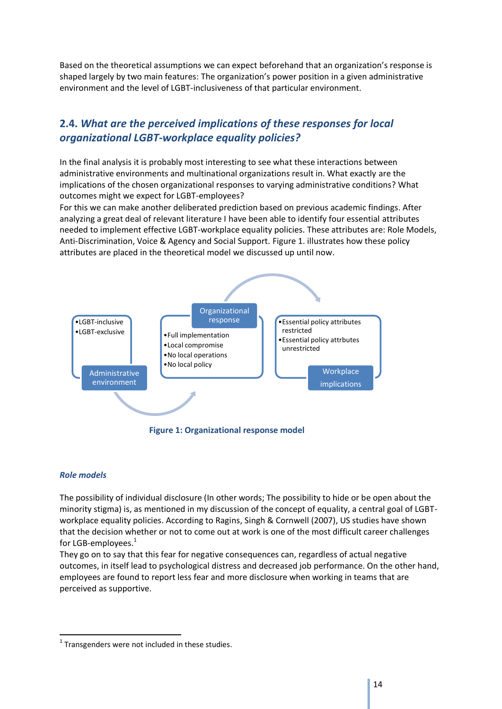Based on the theoretical assumptions we can expect beforehand that an organization's response is shaped largely by two main features: The organization's power position in a given administrative environment and the level of LGBT-inclusiveness of that particular environment.

## **2.4. What are the perceived implications of these responses for local** organizational LGBT-workplace equality policies?

In the final analysis it is probably most interesting to see what these interactions between administrative environments and multinational organizations result in. What exactly are the implications of the chosen organizational responses to varying administrative conditions? What outcomes might we expect for LGBT-employees?

For this we can make another deliberated prediction based on previous academic findings. After analyzing a great deal of relevant literature I have been able to identify four essential attributes needed to implement effective LGBT-workplace equality policies. These attributes are: Role Models, Anti-Discrimination, Voice & Agency and Social Support. Figure 1. illustrates how these policy attributes are placed in the theoretical model we discussed up until now.



**Figure 1: Organizational response model** 

#### *Role\*models\**

The possibility of individual disclosure (In other words; The possibility to hide or be open about the minority stigma) is, as mentioned in my discussion of the concept of equality, a central goal of LGBTworkplace equality policies. According to Ragins, Singh & Cornwell (2007), US studies have shown that the decision whether or not to come out at work is one of the most difficult career challenges for LGB-employees. $<sup>1</sup>$ </sup>

They go on to say that this fear for negative consequences can, regardless of actual negative outcomes, in itself lead to psychological distress and decreased job performance. On the other hand, employees are found to report less fear and more disclosure when working in teams that are perceived as supportive.

 $1$  Transgenders were not included in these studies.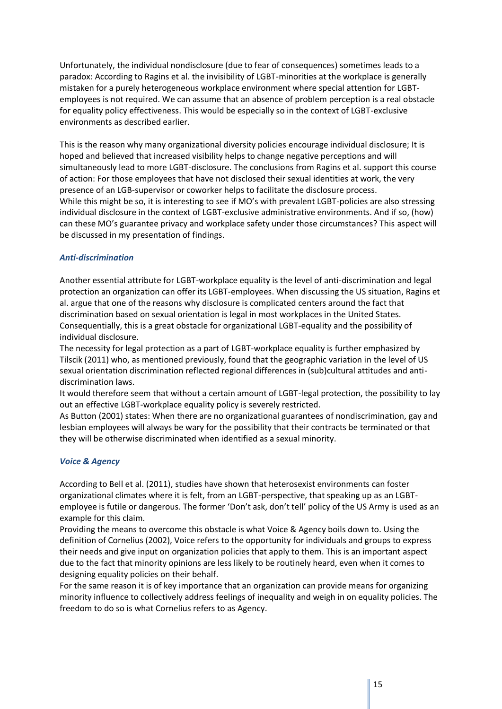Unfortunately, the individual nondisclosure (due to fear of consequences) sometimes leads to a paradox: According to Ragins et al. the invisibility of LGBT-minorities at the workplace is generally mistaken for a purely heterogeneous workplace environment where special attention for LGBTemployees is not required. We can assume that an absence of problem perception is a real obstacle for equality policy effectiveness. This would be especially so in the context of LGBT-exclusive environments as described earlier.

This is the reason why many organizational diversity policies encourage individual disclosure; It is hoped and believed that increased visibility helps to change negative perceptions and will simultaneously lead to more LGBT-disclosure. The conclusions from Ragins et al. support this course of action: For those employees that have not disclosed their sexual identities at work, the very presence of an LGB-supervisor or coworker helps to facilitate the disclosure process. While this might be so, it is interesting to see if MO's with prevalent LGBT-policies are also stressing individual disclosure in the context of LGBT-exclusive administrative environments. And if so, (how) can these MO's guarantee privacy and workplace safety under those circumstances? This aspect will be discussed in my presentation of findings.

#### **Anti-discrimination**

Another essential attribute for LGBT-workplace equality is the level of anti-discrimination and legal protection an organization can offer its LGBT-employees. When discussing the US situation, Ragins et al. argue that one of the reasons why disclosure is complicated centers around the fact that discrimination based on sexual orientation is legal in most workplaces in the United States. Consequentially, this is a great obstacle for organizational LGBT-equality and the possibility of individual disclosure.

The necessity for legal protection as a part of LGBT-workplace equality is further emphasized by Tilscik (2011) who, as mentioned previously, found that the geographic variation in the level of US sexual orientation discrimination reflected regional differences in (sub)cultural attitudes and antidiscrimination laws.

It would therefore seem that without a certain amount of LGBT-legal protection, the possibility to lay out an effective LGBT-workplace equality policy is severely restricted.

As Button (2001) states: When there are no organizational guarantees of nondiscrimination, gay and lesbian employees will always be wary for the possibility that their contracts be terminated or that they will be otherwise discriminated when identified as a sexual minority.

#### *Voice\*&\*Agency*

According to Bell et al. (2011), studies have shown that heterosexist environments can foster organizational climates where it is felt, from an LGBT-perspective, that speaking up as an LGBTemployee is futile or dangerous. The former 'Don't ask, don't tell' policy of the US Army is used as an example for this claim.

Providing the means to overcome this obstacle is what Voice & Agency boils down to. Using the definition of Cornelius (2002), Voice refers to the opportunity for individuals and groups to express their needs and give input on organization policies that apply to them. This is an important aspect due to the fact that minority opinions are less likely to be routinely heard, even when it comes to designing equality policies on their behalf.

For the same reason it is of key importance that an organization can provide means for organizing minority influence to collectively address feelings of inequality and weigh in on equality policies. The freedom to do so is what Cornelius refers to as Agency.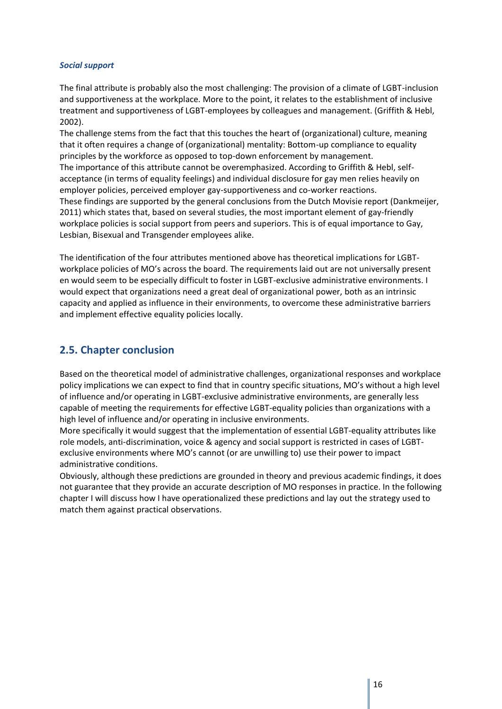#### *Social\*support*

The final attribute is probably also the most challenging: The provision of a climate of LGBT-inclusion' and supportiveness at the workplace. More to the point, it relates to the establishment of inclusive treatment and supportiveness of LGBT-employees by colleagues and management. (Griffith & Hebl, 2002).

The challenge stems from the fact that this touches the heart of (organizational) culture, meaning that it often requires a change of (organizational) mentality: Bottom-up compliance to equality principles by the workforce as opposed to top-down enforcement by management. The importance of this attribute cannot be overemphasized. According to Griffith & Hebl, selfacceptance (in terms of equality feelings) and individual disclosure for gay men relies heavily on employer policies, perceived employer gay-supportiveness and co-worker reactions. These findings are supported by the general conclusions from the Dutch Movisie report (Dankmeijer, 2011) which states that, based on several studies, the most important element of gay-friendly workplace policies is social support from peers and superiors. This is of equal importance to Gay, Lesbian, Bisexual and Transgender employees alike.

The identification of the four attributes mentioned above has theoretical implications for LGBTworkplace policies of MO's across the board. The requirements laid out are not universally present en would seem to be especially difficult to foster in LGBT-exclusive administrative environments. I would expect that organizations need a great deal of organizational power, both as an intrinsic capacity and applied as influence in their environments, to overcome these administrative barriers and implement effective equality policies locally.

### **2.5. Chapter conclusion**

Based on the theoretical model of administrative challenges, organizational responses and workplace policy implications we can expect to find that in country specific situations, MO's without a high level of influence and/or operating in LGBT-exclusive administrative environments, are generally less capable of meeting the requirements for effective LGBT-equality policies than organizations with a high level of influence and/or operating in inclusive environments.

More specifically it would suggest that the implementation of essential LGBT-equality attributes like role models, anti-discrimination, voice & agency and social support is restricted in cases of LGBTexclusive environments where MO's cannot (or are unwilling to) use their power to impact administrative conditions.

Obviously, although these predictions are grounded in theory and previous academic findings, it does not guarantee that they provide an accurate description of MO responses in practice. In the following chapter I will discuss how I have operationalized these predictions and lay out the strategy used to match them against practical observations.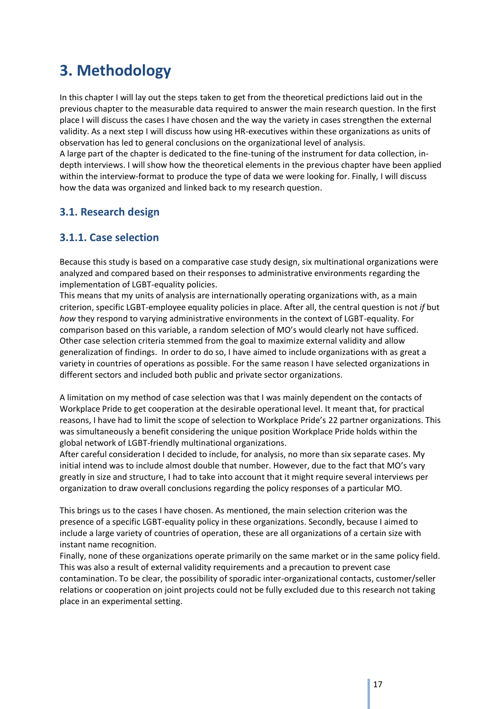## **3. Methodology**

In this chapter I will lay out the steps taken to get from the theoretical predictions laid out in the previous chapter to the measurable data required to answer the main research question. In the first place I will discuss the cases I have chosen and the way the variety in cases strengthen the external validity. As a next step I will discuss how using HR-executives within these organizations as units of observation has led to general conclusions on the organizational level of analysis.

A large part of the chapter is dedicated to the fine-tuning of the instrument for data collection, indepth interviews. I will show how the theoretical elements in the previous chapter have been applied within the interview-format to produce the type of data we were looking for. Finally, I will discuss how the data was organized and linked back to my research question.

## **3.1. Research design**

### **3.1.1.'Case'selection**

Because this study is based on a comparative case study design, six multinational organizations were analyzed and compared based on their responses to administrative environments regarding the implementation of LGBT-equality policies.

This means that my units of analysis are internationally operating organizations with, as a main criterion, specific LGBT-employee equality policies in place. After all, the central question is not *if* but *how* they respond to varying administrative environments in the context of LGBT-equality. For comparison based on this variable, a random selection of MO's would clearly not have sufficed. Other case selection criteria stemmed from the goal to maximize external validity and allow generalization of findings. In order to do so, I have aimed to include organizations with as great a variety in countries of operations as possible. For the same reason I have selected organizations in different sectors and included both public and private sector organizations.

A limitation on my method of case selection was that I was mainly dependent on the contacts of Workplace Pride to get cooperation at the desirable operational level. It meant that, for practical reasons, I have had to limit the scope of selection to Workplace Pride's 22 partner organizations. This was simultaneously a benefit considering the unique position Workplace Pride holds within the global network of LGBT-friendly multinational organizations.

After careful consideration I decided to include, for analysis, no more than six separate cases. My initial intend was to include almost double that number. However, due to the fact that MO's vary greatly in size and structure, I had to take into account that it might require several interviews per organization to draw overall conclusions regarding the policy responses of a particular MO.

This brings us to the cases I have chosen. As mentioned, the main selection criterion was the presence of a specific LGBT-equality policy in these organizations. Secondly, because I aimed to include a large variety of countries of operation, these are all organizations of a certain size with instant name recognition.

Finally, none of these organizations operate primarily on the same market or in the same policy field. This was also a result of external validity requirements and a precaution to prevent case contamination. To be clear, the possibility of sporadic inter-organizational contacts, customer/seller relations or cooperation on joint projects could not be fully excluded due to this research not taking place in an experimental setting.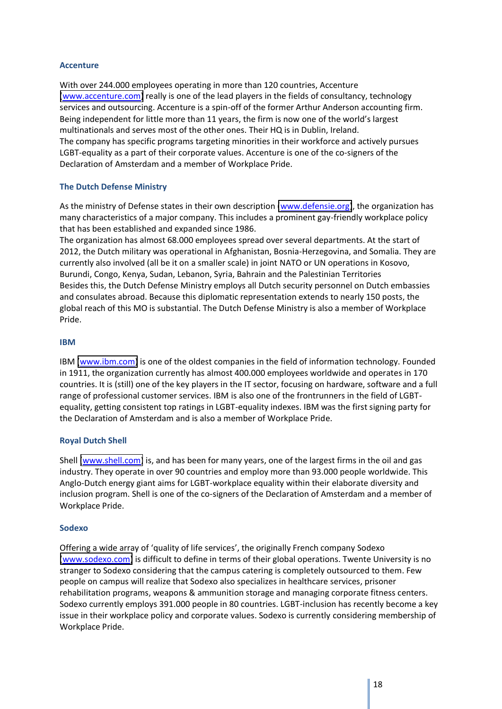#### **Accenture**

With over 244.000 employees operating in more than 120 countries, Accenture [\(www.accenture.com\)](http://www.accenture.com/) really is one of the lead players in the fields of consultancy, technology services and outsourcing. Accenture is a spin-off of the former Arthur Anderson accounting firm. Being independent for little more than 11 years, the firm is now one of the world's largest multinationals and serves most of the other ones. Their HQ is in Dublin, Ireland. The company has specific programs targeting minorities in their workforce and actively pursues LGBT-equality as a part of their corporate values. Accenture is one of the co-signers of the Declaration of Amsterdam and a member of Workplace Pride.

#### **The Dutch Defense Ministry**

As the ministry of Defense states in their own description [\(www.defensie.org\)](http://www.defensie.org/), the organization has many characteristics of a major company. This includes a prominent gay-friendly workplace policy that has been established and expanded since 1986.

The organization has almost 68.000 employees spread over several departments. At the start of 2012, the Dutch military was operational in Afghanistan, Bosnia-Herzegovina, and Somalia. They are currently also involved (all be it on a smaller scale) in joint NATO or UN operations in Kosovo, Burundi, Congo, Kenya, Sudan, Lebanon, Syria, Bahrain and the Palestinian Territories Besides this, the Dutch Defense Ministry employs all Dutch security personnel on Dutch embassies and consulates abroad. Because this diplomatic representation extends to nearly 150 posts, the global reach of this MO is substantial. The Dutch Defense Ministry is also a member of Workplace Pride.

#### **IBM**

IBM [\(www.ibm.com\)](http://www.ibm.com/) is one of the oldest companies in the field of information technology. Founded in 1911, the organization currently has almost 400.000 employees worldwide and operates in 170 countries. It is (still) one of the key players in the IT sector, focusing on hardware, software and a full range of professional customer services. IBM is also one of the frontrunners in the field of LGBTequality, getting consistent top ratings in LGBT-equality indexes. IBM was the first signing party for the Declaration of Amsterdam and is also a member of Workplace Pride.

#### **Royal Dutch Shell**

Shell [\(www.shell.com\)](http://www.shell.com/) is, and has been for many years, one of the largest firms in the oil and gas industry. They operate in over 90 countries and employ more than 93.000 people worldwide. This Anglo-Dutch energy giant aims for LGBT-workplace equality within their elaborate diversity and inclusion program. Shell is one of the co-signers of the Declaration of Amsterdam and a member of Workplace Pride.

#### **Sodexo**

Offering a wide array of 'quality of life services', the originally French company Sodexo [\(www.sodexo.com\)](http://www.sodexo.com/) is difficult to define in terms of their global operations. Twente University is no stranger to Sodexo considering that the campus catering is completely outsourced to them. Few people on campus will realize that Sodexo also specializes in healthcare services, prisoner rehabilitation programs, weapons & ammunition storage and managing corporate fitness centers. Sodexo currently employs 391.000 people in 80 countries. LGBT-inclusion has recently become a key issue in their workplace policy and corporate values. Sodexo is currently considering membership of Workplace Pride.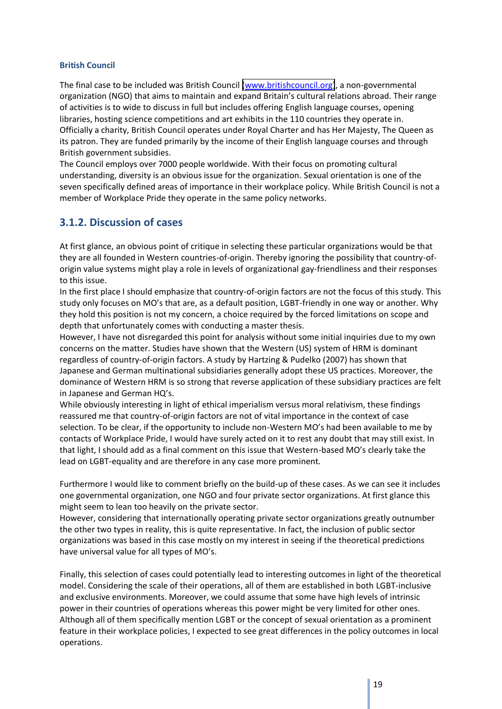#### **British Council**

The final case to be included was British Council [\(www.britishcouncil.org\)](http://www.britishcouncil.org/), a non-governmental organization (NGO) that aims to maintain and expand Britain's cultural relations abroad. Their range of activities is to wide to discuss in full but includes offering English language courses, opening libraries, hosting science competitions and art exhibits in the 110 countries they operate in. Officially a charity, British Council operates under Royal Charter and has Her Majesty, The Queen as its patron. They are funded primarily by the income of their English language courses and through British government subsidies.

The Council employs over 7000 people worldwide. With their focus on promoting cultural understanding, diversity is an obvious issue for the organization. Sexual orientation is one of the seven'specifically defined areas of importance in their workplace policy. While British Council is not a member of Workplace Pride they operate in the same policy networks.

#### **3.1.2. Discussion of cases**

At first glance, an obvious point of critique in selecting these particular organizations would be that they are all founded in Western countries-of-origin. Thereby ignoring the possibility that country-oforigin value systems might play a role in levels of organizational gay-friendliness and their responses to this issue.

In the first place I should emphasize that country-of-origin factors are not the focus of this study. This study only focuses on MO's that are, as a default position, LGBT-friendly in one way or another. Why they hold this position is not my concern, a choice required by the forced limitations on scope and depth that unfortunately comes with conducting a master thesis.

However, I have not disregarded this point for analysis without some initial inquiries due to my own concerns on the matter. Studies have shown that the Western (US) system of HRM is dominant regardless of country-of-origin factors. A study by Hartzing & Pudelko (2007) has shown that Japanese and German multinational subsidiaries generally adopt these US practices. Moreover, the dominance of Western HRM is so strong that reverse application of these subsidiary practices are felt in Japanese and German HQ's.

While obviously interesting in light of ethical imperialism versus moral relativism, these findings reassured me that country-of-origin factors are not of vital importance in the context of case selection. To be clear, if the opportunity to include non-Western MO's had been available to me by contacts of Workplace Pride, I would have surely acted on it to rest any doubt that may still exist. In that light, I should add as a final comment on this issue that Western-based MO's clearly take the lead on LGBT-equality and are therefore in any case more prominent.

Furthermore I would like to comment briefly on the build-up of these cases. As we can see it includes one governmental organization, one NGO and four private sector organizations. At first glance this might seem to lean too heavily on the private sector.

However, considering that internationally operating private sector organizations greatly outnumber the other two types in reality, this is quite representative. In fact, the inclusion of public sector organizations was based in this case mostly on my interest in seeing if the theoretical predictions have universal value for all types of MO's.

Finally, this selection of cases could potentially lead to interesting outcomes in light of the theoretical model. Considering the scale of their operations, all of them are established in both LGBT-inclusive and exclusive environments. Moreover, we could assume that some have high levels of intrinsic power in their countries of operations whereas this power might be very limited for other ones. Although all of them specifically mention LGBT or the concept of sexual orientation as a prominent feature in their workplace policies, I expected to see great differences in the policy outcomes in local operations.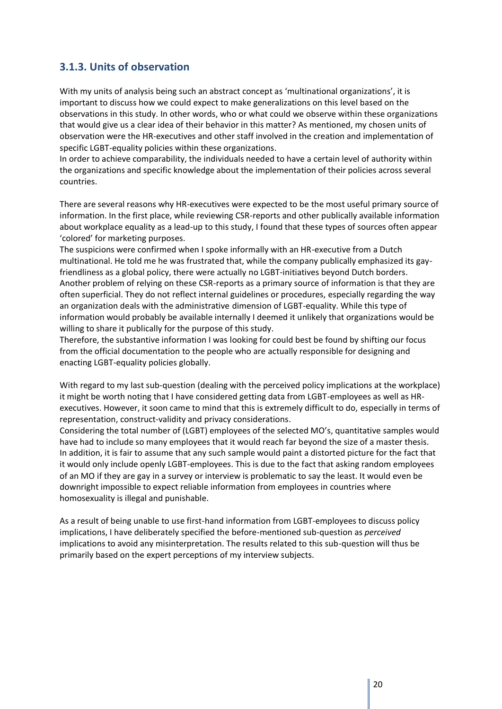### **3.1.3. Units of observation**

With my units of analysis being such an abstract concept as 'multinational organizations', it is important to discuss how we could expect to make generalizations on this level based on the observations in this study. In other words, who or what could we observe within these organizations that would give us a clear idea of their behavior in this matter? As mentioned, my chosen units of observation were the HR-executives and other staff involved in the creation and implementation of specific LGBT-equality policies within these organizations.

In order to achieve comparability, the individuals needed to have a certain level of authority within the organizations and specific knowledge about the implementation of their policies across several countries.

There are several reasons why HR-executives were expected to be the most useful primary source of information. In the first place, while reviewing CSR-reports and other publically available information about workplace equality as a lead-up to this study, I found that these types of sources often appear 'colored' for marketing purposes.

The suspicions were confirmed when I spoke informally with an HR-executive from a Dutch multinational. He told me he was frustrated that, while the company publically emphasized its gayfriendliness as a global policy, there were actually no LGBT-initiatives beyond Dutch borders. Another problem of relying on these CSR-reports as a primary source of information is that they are often superficial. They do not reflect internal guidelines or procedures, especially regarding the way an organization deals with the administrative dimension of LGBT-equality. While this type of information would probably be available internally I deemed it unlikely that organizations would be willing to share it publically for the purpose of this study.

Therefore, the substantive information I was looking for could best be found by shifting our focus from the official documentation to the people who are actually responsible for designing and enacting LGBT-equality policies globally.

With regard to my last sub-question (dealing with the perceived policy implications at the workplace) it might be worth noting that I have considered getting data from LGBT-employees as well as HRexecutives. However, it soon came to mind that this is extremely difficult to do, especially in terms of representation, construct-validity and privacy considerations.

Considering the total number of (LGBT) employees of the selected MO's, quantitative samples would have had to include so many employees that it would reach far beyond the size of a master thesis. In addition, it is fair to assume that any such sample would paint a distorted picture for the fact that it would only include openly LGBT-employees. This is due to the fact that asking random employees of an MO if they are gay in a survey or interview is problematic to say the least. It would even be downright impossible to expect reliable information from employees in countries where homosexuality is illegal and punishable.

As a result of being unable to use first-hand information from LGBT-employees to discuss policy implications, I have deliberately specified the before-mentioned sub-question as *perceived* implications to avoid any misinterpretation. The results related to this sub-question will thus be primarily based on the expert perceptions of my interview subjects.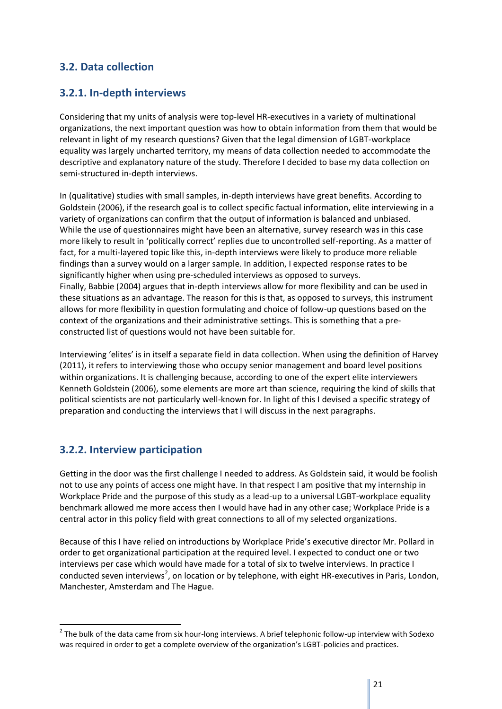#### **3.2. Data collection**

#### **3.2.1. In-depth interviews**

Considering that my units of analysis were top-level HR-executives in a variety of multinational organizations, the next important question was how to obtain information from them that would be relevant in light of my research questions? Given that the legal dimension of LGBT-workplace equality was largely uncharted territory, my means of data collection needed to accommodate the descriptive and explanatory nature of the study. Therefore I decided to base my data collection on semi-structured in-depth interviews.

In (qualitative) studies with small samples, in-depth interviews have great benefits. According to Goldstein (2006), if the research goal is to collect specific factual information, elite interviewing in a variety of organizations can confirm that the output of information is balanced and unbiased. While the use of questionnaires might have been an alternative, survey research was in this case more likely to result in 'politically correct' replies due to uncontrolled self-reporting. As a matter of fact, for a multi-layered topic like this, in-depth interviews were likely to produce more reliable findings than a survey would on a larger sample. In addition, I expected response rates to be significantly higher when using pre-scheduled interviews as opposed to surveys. Finally, Babbie (2004) argues that in-depth interviews allow for more flexibility and can be used in these situations as an advantage. The reason for this is that, as opposed to surveys, this instrument allows for more flexibility in question formulating and choice of follow-up questions based on the context of the organizations and their administrative settings. This is something that a preconstructed list of questions would not have been suitable for.

Interviewing 'elites' is in itself a separate field in data collection. When using the definition of Harvey (2011), it refers to interviewing those who occupy senior management and board level positions within organizations. It is challenging because, according to one of the expert elite interviewers Kenneth Goldstein (2006), some elements are more art than science, requiring the kind of skills that political scientists are not particularly well-known for. In light of this I devised a specific strategy of preparation and conducting the interviews that I will discuss in the next paragraphs.

#### **3.2.2.'Interview'participation**

Getting in the door was the first challenge I needed to address. As Goldstein said, it would be foolish not to use any points of access one might have. In that respect I am positive that my internship in Workplace Pride and the purpose of this study as a lead-up to a universal LGBT-workplace equality benchmark allowed me more access then I would have had in any other case; Workplace Pride is a central actor in this policy field with great connections to all of my selected organizations.

Because of this I have relied on introductions by Workplace Pride's executive director Mr. Pollard in order to get organizational participation at the required level. I expected to conduct one or two interviews per case which would have made for a total of six to twelve interviews. In practice I conducted seven interviews<sup>2</sup>, on location or by telephone, with eight HR-executives in Paris, London, Manchester, Amsterdam and The Hague.

 $2$  The bulk of the data came from six hour-long interviews. A brief telephonic follow-up interview with Sodexo was required in order to get a complete overview of the organization's LGBT-policies and practices.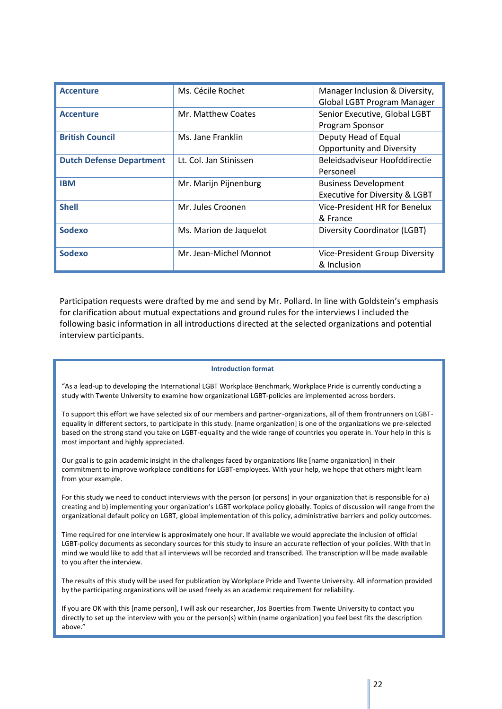| <b>Accenture</b>                | Ms. Cécile Rochet      | Manager Inclusion & Diversity,<br>Global LGBT Program Manager |
|---------------------------------|------------------------|---------------------------------------------------------------|
| <b>Accenture</b>                | Mr. Matthew Coates     | Senior Executive, Global LGBT<br>Program Sponsor              |
| <b>British Council</b>          | Ms. Jane Franklin      | Deputy Head of Equal<br>Opportunity and Diversity             |
| <b>Dutch Defense Department</b> | Lt. Col. Jan Stinissen | Beleidsadviseur Hoofddirectie<br>Personeel                    |
| <b>IBM</b>                      | Mr. Marijn Pijnenburg  | <b>Business Development</b><br>Executive for Diversity & LGBT |
| <b>Shell</b>                    | Mr. Jules Croonen      | Vice-President HR for Benelux<br>& France                     |
| <b>Sodexo</b>                   | Ms. Marion de Jaquelot | <b>Diversity Coordinator (LGBT)</b>                           |
| <b>Sodexo</b>                   | Mr. Jean-Michel Monnot | Vice-President Group Diversity<br>& Inclusion                 |

Participation requests were drafted by me and send by Mr. Pollard. In line with Goldstein's emphasis for clarification about mutual expectations and ground rules for the interviews I included the following basic information in all introductions directed at the selected organizations and potential interview participants.

#### **!!!!!!!!!!!!!Introduction'format**

"As a lead-up to developing the International LGBT Workplace Benchmark, Workplace Pride is currently conducting a study with Twente University to examine how organizational LGBT-policies are implemented across borders.

To support this effort we have selected six of our members and partner-organizations, all of them frontrunners on LGBTequality in different sectors, to participate in this study. [name organization] is one of the organizations we pre-selected based on the strong stand you take on LGBT-equality and the wide range of countries you operate in. Your help in this is most important and highly appreciated.

Our goal is to gain academic insight in the challenges faced by organizations like [name organization] in their commitment to improve workplace conditions for LGBT-employees. With your help, we hope that others might learn from your example.

For this study we need to conduct interviews with the person (or persons) in your organization that is responsible for a) creating and b) implementing your organization's LGBT workplace policy globally. Topics of discussion will range from the organizational default policy on LGBT, global implementation of this policy, administrative barriers and policy outcomes.

Time required for one interview is approximately one hour. If available we would appreciate the inclusion of official LGBT-policy documents as secondary sources for this study to insure an accurate reflection of your policies. With that in mind we would like to add that all interviews will be recorded and transcribed. The transcription will be made available to you after the interview.

The results of this study will be used for publication by Workplace Pride and Twente University. All information provided by the participating organizations will be used freely as an academic requirement for reliability.

If you are OK with this [name person], I will ask our researcher, Jos Boerties from Twente University to contact you directly to set up the interview with you or the person(s) within (name organization] you feel best fits the description above."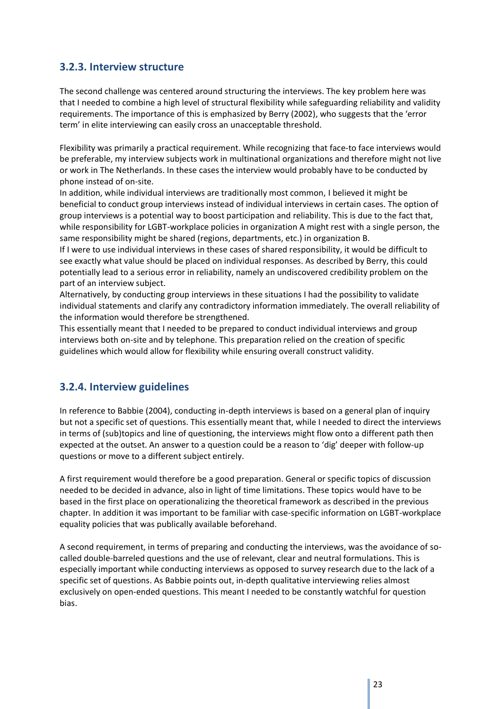### **3.2.3.'Interview'structure**

The second challenge was centered around structuring the interviews. The key problem here was that I needed to combine a high level of structural flexibility while safeguarding reliability and validity requirements. The importance of this is emphasized by Berry (2002), who suggests that the 'error term' in elite interviewing can easily cross an unacceptable threshold.

Flexibility was primarily a practical requirement. While recognizing that face-to face interviews would be preferable, my interview subjects work in multinational organizations and therefore might not live or work in The Netherlands. In these cases the interview would probably have to be conducted by phone instead of on-site.

In addition, while individual interviews are traditionally most common, I believed it might be beneficial to conduct group interviews instead of individual interviews in certain cases. The option of group interviews is a potential way to boost participation and reliability. This is due to the fact that, while responsibility for LGBT-workplace policies in organization A might rest with a single person, the same responsibility might be shared (regions, departments, etc.) in organization B.

If I were to use individual interviews in these cases of shared responsibility, it would be difficult to see exactly what value should be placed on individual responses. As described by Berry, this could potentially lead to a serious error in reliability, namely an undiscovered credibility problem on the part of an interview subject.

Alternatively, by conducting group interviews in these situations I had the possibility to validate individual statements and clarify any contradictory information immediately. The overall reliability of the information would therefore be strengthened.

This essentially meant that I needed to be prepared to conduct individual interviews and group interviews both on-site and by telephone. This preparation relied on the creation of specific guidelines which would allow for flexibility while ensuring overall construct validity.

#### **3.2.4. Interview guidelines**

In reference to Babbie (2004), conducting in-depth interviews is based on a general plan of inquiry but not a specific set of questions. This essentially meant that, while I needed to direct the interviews in'terms' of (sub)topics and line of questioning, the interviews might flow onto a different path then' expected at the outset. An answer to a question could be a reason to 'dig' deeper with follow-up questions or move to a different subject entirely.

A first requirement would therefore be a good preparation. General or specific topics of discussion needed to be decided in advance, also in light of time limitations. These topics would have to be based in the first place on operationalizing the theoretical framework as described in the previous chapter. In addition it was important to be familiar with case-specific information on LGBT-workplace equality policies that was publically available beforehand.

A second requirement, in terms of preparing and conducting the interviews, was the avoidance of socalled double-barreled questions and the use of relevant, clear and neutral formulations. This is especially important while conducting interviews as opposed to survey research due to the lack of a specific set of questions. As Babbie points out, in-depth qualitative interviewing relies almost exclusively on open-ended questions. This meant I needed to be constantly watchful for question bias.'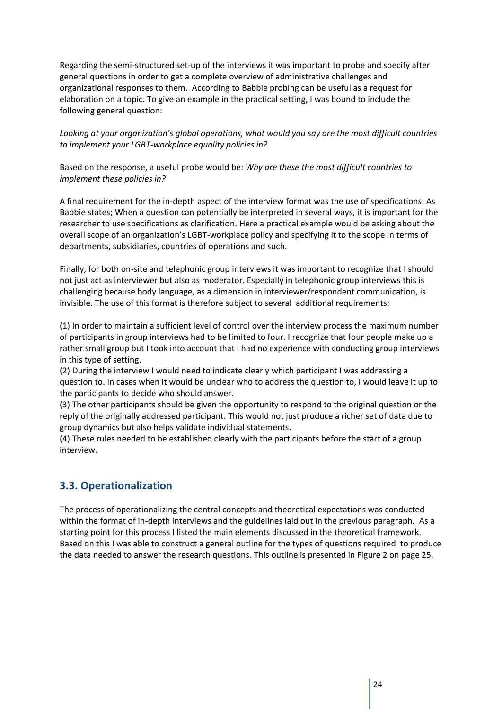Regarding the semi-structured set-up of the interviews it was important to probe and specify after general questions in order to get a complete overview of administrative challenges and organizational responses to them. According to Babbie probing can be useful as a request for elaboration on a topic. To give an example in the practical setting, I was bound to include the following general question:

Looking at your organization's global operations, what would you say are the most difficult countries to implement your LGBT-workplace equality policies in?

Based on the response, a useful probe would be: Why are these the most difficult countries to *implement these policies in?* 

A final requirement for the in-depth aspect of the interview format was the use of specifications. As Babbie states; When a question can potentially be interpreted in several ways, it is important for the researcher to use specifications as clarification. Here a practical example would be asking about the overall scope of an organization's LGBT-workplace policy and specifying it to the scope in terms of departments, subsidiaries, countries of operations and such.

Finally, for both on-site and telephonic group interviews it was important to recognize that I should not just act as interviewer but also as moderator. Especially in telephonic group interviews this is challenging because body language, as a dimension in interviewer/respondent communication, is invisible. The use of this format is therefore subject to several additional requirements:

(1) In order to maintain a sufficient level of control over the interview process the maximum number of participants in group interviews had to be limited to four. I recognize that four people make up a rather small group but I took into account that I had no experience with conducting group interviews in this type of setting.

(2) During the interview I would need to indicate clearly which participant I was addressing a question to. In cases when it would be unclear who to address the question to, I would leave it up to the participants to decide who should answer.

(3) The other participants should be given the opportunity to respond to the original question or the reply of the originally addressed participant. This would not just produce a richer set of data due to group dynamics but also helps validate individual statements.

(4) These rules needed to be established clearly with the participants before the start of a group interview.

#### **3.3.'Operationalization**

The process of operationalizing the central concepts and theoretical expectations was conducted within the format of in-depth interviews and the guidelines laid out in the previous paragraph. As a starting point for this process I listed the main elements discussed in the theoretical framework. Based on this I was able to construct a general outline for the types of questions required to produce the data needed to answer the research questions. This outline is presented in Figure 2 on page 25.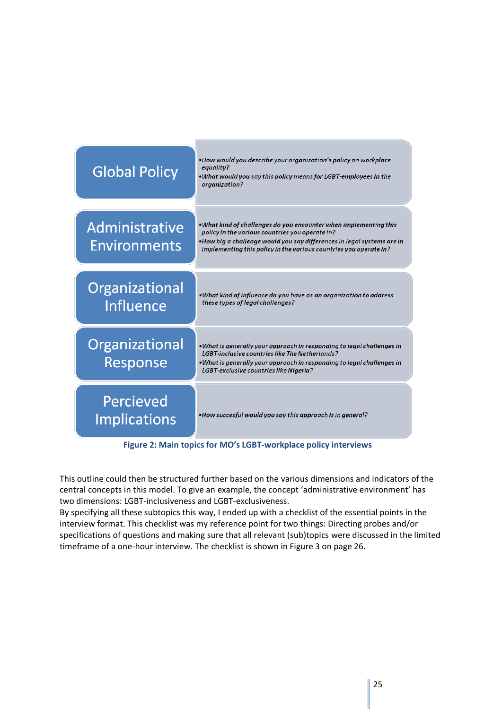| <b>Global Policy</b>                    | • How would you describe your organization's policy on workplace<br>equality?<br>. What would you say this policy means for LGBT-employees in the<br>organization?                                                                                                   |
|-----------------------------------------|----------------------------------------------------------------------------------------------------------------------------------------------------------------------------------------------------------------------------------------------------------------------|
| Administrative<br><b>Environments</b>   | • What kind of challenges do you encounter when implementing this<br>policy in the various countries you operate in?<br>• How big a challenge would you say differences in legal systems are in<br>implementing this policy in the various countries you operate in? |
| Organizational<br><b>Influence</b>      | .What kind of influence do you have as an organization to address<br>these types of legal challenges?                                                                                                                                                                |
| Organizational<br>Response              | • What is generally your approach in responding to legal challenges in<br>LGBT-inclusive countries like The Netherlands?<br>• What is generally your approach in responding to legal challenges in<br>LGBT-exclusive countries like Nigeria?                         |
| <b>Percieved</b><br><b>Implications</b> | •How succesful would you say this approach is in general?                                                                                                                                                                                                            |

Figure 2: Main topics for MO's LGBT-workplace policy interviews

This outline could then be structured further based on the various dimensions and indicators of the central concepts in this model. To give an example, the concept 'administrative environment' has two dimensions: LGBT-inclusiveness and LGBT-exclusiveness.

By specifying all these subtopics this way, I ended up with a checklist of the essential points in the interview format. This checklist was my reference point for two things: Directing probes and/or specifications of questions and making sure that all relevant (sub)topics were discussed in the limited timeframe of a one-hour interview. The checklist is shown in Figure 3 on page 26.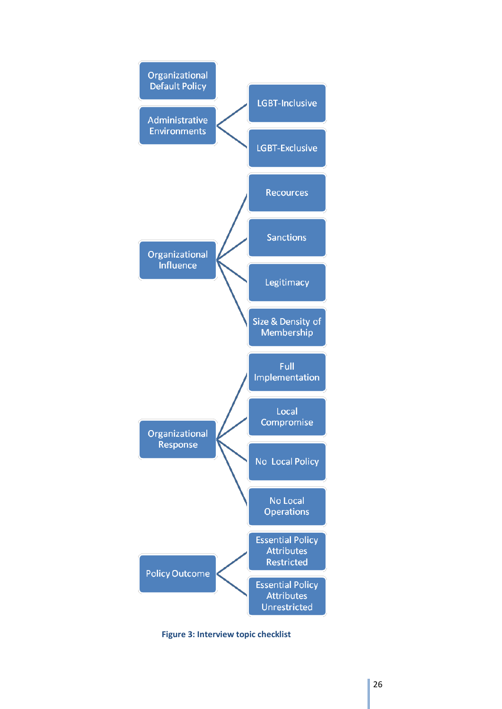

**Figure 3: Interview topic checklist**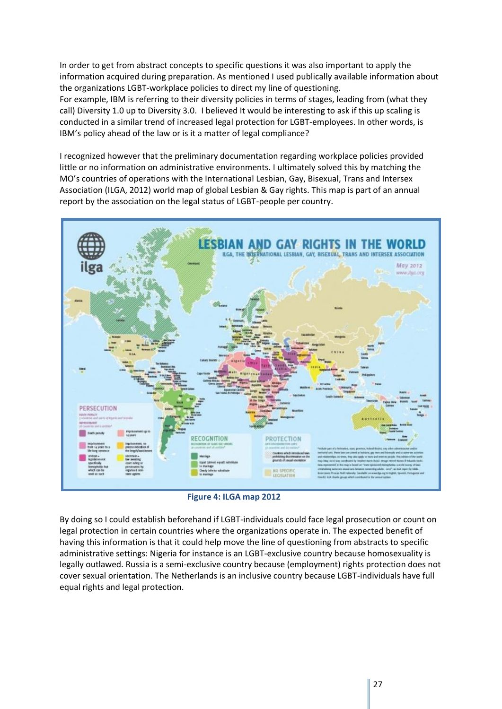In order to get from abstract concepts to specific questions it was also important to apply the information acquired during preparation. As mentioned I used publically available information about the organizations LGBT-workplace policies to direct my line of questioning. For example, IBM is referring to their diversity policies in terms of stages, leading from (what they call) Diversity 1.0 up to Diversity 3.0. I believed It would be interesting to ask if this up scaling is conducted in a similar trend of increased legal protection for LGBT-employees. In other words, is IBM's policy ahead of the law or is it a matter of legal compliance?

I recognized however that the preliminary documentation regarding workplace policies provided little or no information on administrative environments. I ultimately solved this by matching the MO's countries of operations with the International Lesbian, Gay, Bisexual, Trans and Intersex Association (ILGA, 2012) world map of global Lesbian & Gay rights. This map is part of an annual report by the association on the legal status of LGBT-people per country.



**Figure 4: ILGA map 2012** 

By doing so I could establish beforehand if LGBT-individuals could face legal prosecution or count on legal protection in certain countries where the organizations operate in. The expected benefit of having this information is that it could help move the line of questioning from abstracts to specific administrative settings: Nigeria for instance is an LGBT-exclusive country because homosexuality is legally outlawed. Russia is a semi-exclusive country because (employment) rights protection does not cover sexual orientation. The Netherlands is an inclusive country because LGBT-individuals have full equal rights and legal protection.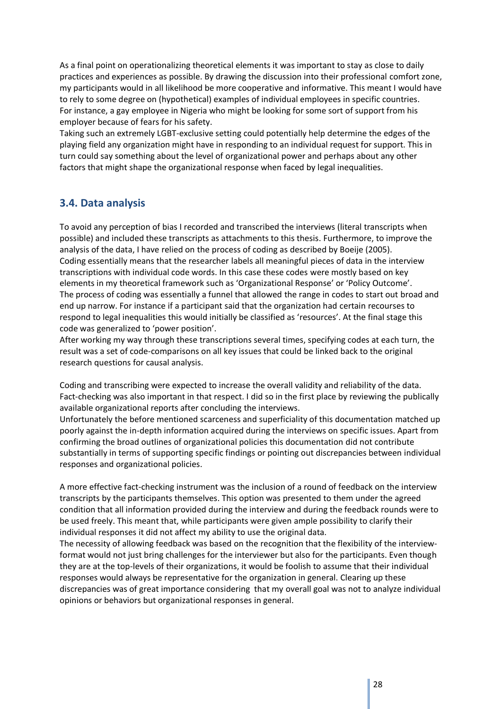As a final point on operationalizing theoretical elements it was important to stay as close to daily practices and experiences as possible. By drawing the discussion into their professional comfort zone, my participants would in all likelihood be more cooperative and informative. This meant I would have to rely to some degree on (hypothetical) examples of individual employees in specific countries. For instance, a gay employee in Nigeria who might be looking for some sort of support from his employer because of fears for his safety.

Taking such an extremely LGBT-exclusive setting could potentially help determine the edges of the playing field any organization might have in responding to an individual request for support. This in turn could say something about the level of organizational power and perhaps about any other factors that might shape the organizational response when faced by legal inequalities.

## **3.4.'Data'analysis**

To avoid any perception of bias I recorded and transcribed the interviews (literal transcripts when' possible) and included these transcripts as attachments to this thesis. Furthermore, to improve the analysis of the data, I have relied on the process of coding as described by Boeije (2005). Coding essentially means that the researcher labels all meaningful pieces of data in the interview transcriptions with individual code words. In this case these codes were mostly based on key elements in my theoretical framework such as 'Organizational Response' or 'Policy Outcome'. The process of coding was essentially a funnel that allowed the range in codes to start out broad and end up narrow. For instance if a participant said that the organization had certain recourses to respond to legal inequalities this would initially be classified as 'resources'. At the final stage this code was generalized to 'power position'.

After working my way through these transcriptions several times, specifying codes at each turn, the result was a set of code-comparisons on all key issues that could be linked back to the original research questions for causal analysis.

Coding and transcribing were expected to increase the overall validity and reliability of the data. Fact-checking was also important in that respect. I did so in the first place by reviewing the publically available organizational reports after concluding the interviews.

Unfortunately the before mentioned scarceness and superficiality of this documentation matched up poorly against the in-depth information acquired during the interviews on specific issues. Apart from confirming the broad outlines of organizational policies this documentation did not contribute substantially in terms of supporting specific findings or pointing out discrepancies between individual responses and organizational policies.

A more effective fact-checking instrument was the inclusion of a round of feedback on the interview transcripts by the participants themselves. This option was presented to them under the agreed condition that all information provided during the interview and during the feedback rounds were to be used freely. This meant that, while participants were given ample possibility to clarify their individual responses it did not affect my ability to use the original data.

The necessity of allowing feedback was based on the recognition that the flexibility of the interviewformat would not just bring challenges for the interviewer but also for the participants. Even though they are at the top-levels of their organizations, it would be foolish to assume that their individual responses would always be representative for the organization in general. Clearing up these discrepancies was of great importance considering that my overall goal was not to analyze individual opinions or behaviors but organizational responses in general.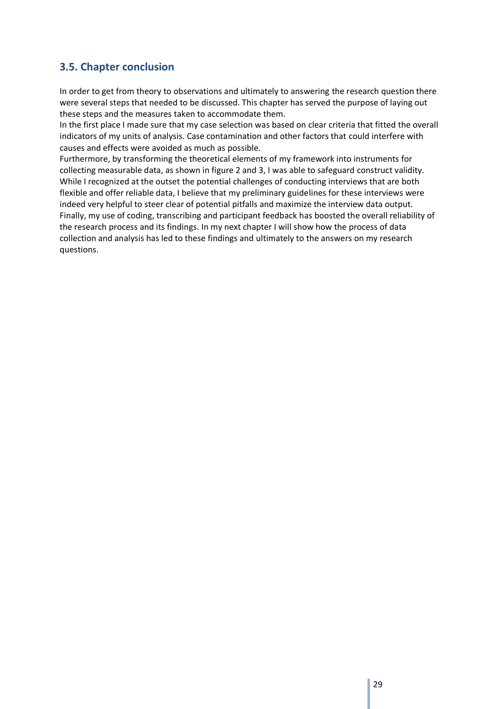## **3.5. Chapter conclusion**

In order to get from theory to observations and ultimately to answering the research question there were several steps that needed to be discussed. This chapter has served the purpose of laying out these steps and the measures taken to accommodate them.

In the first place I made sure that my case selection was based on clear criteria that fitted the overall indicators of my units of analysis. Case contamination and other factors that could interfere with causes and effects were avoided as much as possible.

Furthermore, by transforming the theoretical elements of my framework into instruments for collecting measurable data, as shown in figure 2 and 3, I was able to safeguard construct validity. While I recognized at the outset the potential challenges of conducting interviews that are both flexible and offer reliable data, I believe that my preliminary guidelines for these interviews were indeed very helpful to steer clear of potential pitfalls and maximize the interview data output. Finally, my use of coding, transcribing and participant feedback has boosted the overall reliability of the research process and its findings. In my next chapter I will show how the process of data collection and analysis has led to these findings and ultimately to the answers on my research questions.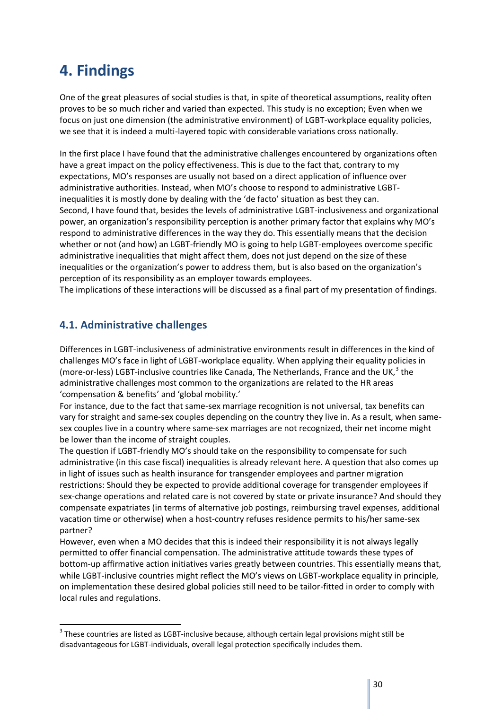## **4.'Findings**

One of the great pleasures of social studies is that, in spite of theoretical assumptions, reality often proves to be so much richer and varied than expected. This study is no exception; Even when we focus on just one dimension (the administrative environment) of LGBT-workplace equality policies, we see that it is indeed a multi-layered topic with considerable variations cross nationally.

In the first place I have found that the administrative challenges encountered by organizations often' have a great impact on the policy effectiveness. This is due to the fact that, contrary to my expectations, MO's responses are usually not based on a direct application of influence over administrative authorities. Instead, when MO's choose to respond to administrative LGBTinequalities it is mostly done by dealing with the 'de facto' situation as best they can. Second, I have found that, besides the levels of administrative LGBT-inclusiveness and organizational power, an organization's responsibility perception is another primary factor that explains why MO's respond to administrative differences in the way they do. This essentially means that the decision whether or not (and how) an LGBT-friendly MO is going to help LGBT-employees overcome specific administrative inequalities that might affect them, does not just depend on the size of these inequalities or the organization's power to address them, but is also based on the organization's perception of its responsibility as an employer towards employees.

The implications of these interactions will be discussed as a final part of my presentation of findings.

### **4.1. Administrative challenges**

Differences in LGBT-inclusiveness of administrative environments result in differences in the kind of challenges MO's face in light of LGBT-workplace equality. When applying their equality policies in (more-or-less) LGBT-inclusive countries like Canada, The Netherlands, France and the UK,<sup>3</sup> the administrative challenges most common to the organizations are related to the HR areas 'compensation & benefits' and 'global mobility.'

For instance, due to the fact that same-sex marriage recognition is not universal, tax benefits can vary for straight and same-sex couples depending on the country they live in. As a result, when samesex couples live in a country where same-sex marriages are not recognized, their net income might be lower than the income of straight couples.

The question if LGBT-friendly MO's should take on the responsibility to compensate for such administrative (in this case fiscal) inequalities is already relevant here. A question that also comes up in light of issues such as health insurance for transgender employees and partner migration restrictions: Should they be expected to provide additional coverage for transgender employees if sex-change operations and related care is not covered by state or private insurance? And should they compensate expatriates (in terms of alternative job postings, reimbursing travel expenses, additional vacation time or otherwise) when a host-country refuses residence permits to his/her same-sex partner?

However, even when a MO decides that this is indeed their responsibility it is not always legally permitted to offer financial compensation. The administrative attitude towards these types of bottom-up affirmative action initiatives varies greatly between countries. This essentially means that, while LGBT-inclusive countries might reflect the MO's views on LGBT-workplace equality in principle, on implementation these desired global policies still need to be tailor-fitted in order to comply with local rules and regulations.

 $3$  These countries are listed as LGBT-inclusive because, although certain legal provisions might still be disadvantageous for LGBT-individuals, overall legal protection specifically includes them.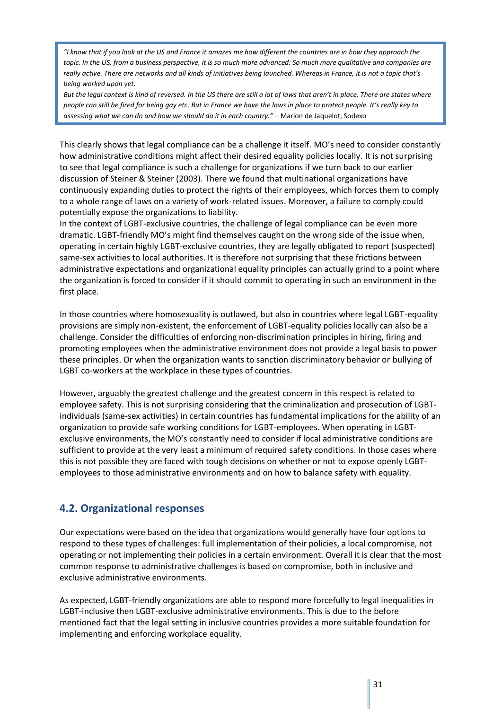*"I know that if you look at the US and France it amazes me how different the countries are in how they approach the* topic. In the US, from a business perspective, it is so much more advanced. So much more qualitative and companies are really active. There are networks and all kinds of initiatives being launched. Whereas in France, it is not a topic that's *being\*worked\*upon\*yet.\**

*But the legal context is kind of reversed. In the US there are still a lot of laws that aren't in place. There are states where people can still be fired for being gay etc. But in France we have the laws in place to protect people. It's really key to* assessing what we can do and how we should do it in each country." - Marion de Jaquelot, Sodexo

This clearly shows that legal compliance can be a challenge it itself. MO's need to consider constantly how administrative conditions might affect their desired equality policies locally. It is not surprising to see that legal compliance is such a challenge for organizations if we turn back to our earlier discussion of Steiner & Steiner (2003). There we found that multinational organizations have continuously expanding duties to protect the rights of their employees, which forces them to comply to a whole range of laws on a variety of work-related issues. Moreover, a failure to comply could potentially expose the organizations to liability.

In the context of LGBT-exclusive countries, the challenge of legal compliance can be even more dramatic. LGBT-friendly MO's might find themselves caught on the wrong side of the issue when, operating in certain highly LGBT-exclusive countries, they are legally obligated to report (suspected) same-sex activities to local authorities. It is therefore not surprising that these frictions between administrative expectations and organizational equality principles can actually grind to a point where the organization is forced to consider if it should commit to operating in such an environment in the first place.

In those countries where homosexuality is outlawed, but also in countries where legal LGBT-equality provisions are simply non-existent, the enforcement of LGBT-equality policies locally can also be a challenge. Consider the difficulties of enforcing non-discrimination principles in hiring, firing and promoting employees when the administrative environment does not provide a legal basis to power these principles. Or when the organization wants to sanction discriminatory behavior or bullying of LGBT co-workers at the workplace in these types of countries.

However, arguably the greatest challenge and the greatest concern in this respect is related to employee safety. This is not surprising considering that the criminalization and prosecution of LGBTindividuals' (same-sex activities) in certain countries has fundamental implications for the ability of an organization to provide safe working conditions for LGBT-employees. When operating in LGBTexclusive environments, the MO's constantly need to consider if local administrative conditions are sufficient to provide at the very least a minimum of required safety conditions. In those cases where this is not possible they are faced with tough decisions on whether or not to expose openly LGBTemployees to those administrative environments and on how to balance safety with equality.

#### **4.2.'Organizational'responses**

Our expectations were based on the idea that organizations would generally have four options to respond to these types of challenges: full implementation of their policies, a local compromise, not operating or not implementing their policies in a certain environment. Overall it is clear that the most common response to administrative challenges is based on compromise, both in inclusive and exclusive administrative environments.

As expected, LGBT-friendly organizations are able to respond more forcefully to legal inequalities in LGBT-inclusive then LGBT-exclusive administrative environments. This is due to the before mentioned fact that the legal setting in inclusive countries provides a more suitable foundation for implementing and enforcing workplace equality.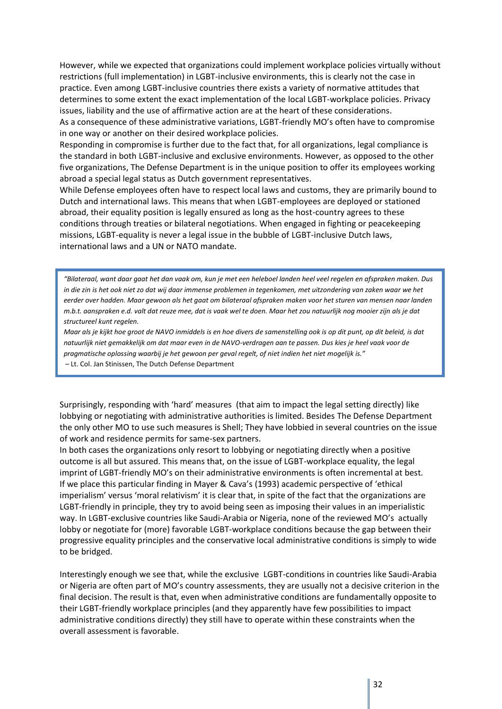However, while we expected that organizations could implement workplace policies virtually without restrictions (full implementation) in LGBT-inclusive environments, this is clearly not the case in practice. Even among LGBT-inclusive countries there exists a variety of normative attitudes that determines to some extent the exact implementation of the local LGBT-workplace policies. Privacy issues, liability and the use of affirmative action are at the heart of these considerations. As a consequence of these administrative variations, LGBT-friendly MO's often have to compromise

in one way or another on their desired workplace policies.

Responding in compromise is further due to the fact that, for all organizations, legal compliance is the standard in both LGBT-inclusive and exclusive environments. However, as opposed to the other five organizations, The Defense Department is in the unique position to offer its employees working abroad a special legal status as Dutch government representatives.

While Defense employees often have to respect local laws and customs, they are primarily bound to Dutch and international laws. This means that when LGBT-employees are deployed or stationed abroad, their equality position is legally ensured as long as the host-country agrees to these conditions through treaties or bilateral negotiations. When engaged in fighting or peacekeeping missions, LGBT-equality is never a legal issue in the bubble of LGBT-inclusive Dutch laws, international laws and a UN or NATO mandate.

*͞ŝůĂƚĞƌĂĂů͕ǁĂŶƚĚĂĂƌŐĂĂƚŚĞƚĚĂŶǀĂĂŬŽŵ͕kun\*je\*met\*een\*heleboel\*landen\*heel\*veel\*regelen\*en\*afspraken\*maken.\*Dus\** in die zin is het ook niet zo dat wij daar immense problemen in tegenkomen, met uitzondering van zaken waar we het *eerder\*over\*hadden.\*Maar\*gewoon\*als\*het\*gaat\*om\*bilateraal\*afspraken maken\*voor\*het\*sturen\*van\*mensen\*naar\*landen\* m.b.t.\*aanspraken\*e.d.\*valt\*dat\*reuze\*mee,\*dat\*is\*vaak\*wel\*te\*doen.\*Maar\*het\*zou\*natuurlijk\*nog\*mooier\*zijn\*als\*je\*dat\* structureel\*kunt\*regelen.\**

*Maar\*als\*je\*kijkt\*hoe\*groot\*de\*NAVO\*inmiddels\*is\*en\*hoe\*divers\*de\*samenstelling\*ook\*is\*op\*dit\*punt,\*op\*dit\*beleid,\*is\*dat\* natuurlijk\*niet\*gemakkelijk\*om\*dat\*maar\*even\*in\*de\*NAVO5verdragen\*aan\*te\*passen.\*Dus\*kies\*je\*heel\*vaak\*voor\*de\** pragmatische oplossing waarbij je het gewoon per geval regelt, of niet indien het niet mogelijk is."

- Lt. Col. Jan Stinissen, The Dutch Defense Department

Surprisingly, responding with 'hard' measures (that aim to impact the legal setting directly) like lobbying or negotiating with administrative authorities is limited. Besides The Defense Department the only other MO to use such measures is Shell; They have lobbied in several countries on the issue of work and residence permits for same-sex partners.

In both cases the organizations only resort to lobbying or negotiating directly when a positive outcome is all but assured. This means that, on the issue of LGBT-workplace equality, the legal imprint of LGBT-friendly MO's on their administrative environments is often incremental at best. If we place this particular finding in Mayer & Cava's (1993) academic perspective of 'ethical imperialism' versus 'moral relativism' it is clear that, in spite of the fact that the organizations are LGBT-friendly in principle, they try to avoid being seen as imposing their values in an imperialistic way. In LGBT-exclusive countries like Saudi-Arabia or Nigeria, none of the reviewed MO's actually lobby or negotiate for (more) favorable LGBT-workplace conditions because the gap between their progressive equality principles and the conservative local administrative conditions is simply to wide to be bridged.

Interestingly enough we see that, while the exclusive LGBT-conditions in countries like Saudi-Arabia or Nigeria are often part of MO's country assessments, they are usually not a decisive criterion in the final decision. The result is that, even when administrative conditions are fundamentally opposite to their LGBT-friendly workplace principles (and they apparently have few possibilities to impact administrative conditions directly) they still have to operate within these constraints when the overall assessment is favorable.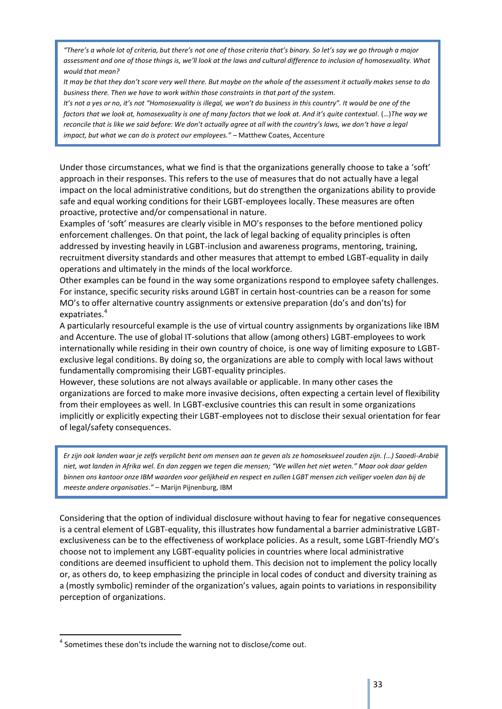"There's a whole lot of criteria, but there's not one of those criteria that's binary. So let's say we go through a major assessment and one of those things is, we'll look at the laws and cultural difference to inclusion of homosexuality. What *would\*that\*mean?\**

*It may be that they don't score very well there. But maybe on the whole of the assessment it actually makes sense to do* business there. Then we have to work within those constraints in that part of the system.

*It's not a yes or no, it's not "Homosexuality is illegal, we won't do business in this country". It would be one of the factors that we look at, homosexuality is one of many factors that we look at. And it's quite contextual. (...)The way we* reconcile that is like we said before: We don't actually agree at all with the country's laws, we don't have a legal *impact, but what we can do is protect our employees."* – Matthew Coates, Accenture

Under those circumstances, what we find is that the organizations generally choose to take a 'soft' approach in their responses. This refers to the use of measures that do not actually have a legal impact on the local administrative conditions, but do strengthen the organizations ability to provide safe and equal working conditions for their LGBT-employees locally. These measures are often proactive, protective and/or compensational in nature.

Examples of 'soft' measures are clearly visible in MO's responses to the before mentioned policy enforcement challenges. On that point, the lack of legal backing of equality principles is often addressed by investing heavily in LGBT-inclusion and awareness programs, mentoring, training, recruitment diversity standards and other measures that attempt to embed LGBT-equality in daily operations and ultimately in the minds of the local workforce.

Other examples can be found in the way some organizations respond to employee safety challenges. For instance, specific security risks around LGBT in certain host-countries can be a reason for some MO's to offer alternative country assignments or extensive preparation (do's and don'ts) for expatriates.<sup>4</sup>

A particularly resourceful example is the use of virtual country assignments by organizations like IBM and Accenture. The use of global IT-solutions that allow (among others) LGBT-employees to work internationally while residing in their own country of choice, is one way of limiting exposure to LGBTexclusive legal conditions. By doing so, the organizations are able to comply with local laws without fundamentally compromising their LGBT-equality principles.

However, these solutions are not always available or applicable. In many other cases the organizations are forced to make more invasive decisions, often expecting a certain level of flexibility from their employees as well. In LGBT-exclusive countries this can result in some organizations implicitly or explicitly expecting their LGBT-employees not to disclose their sexual orientation for fear of legal/safety consequences.

*ƌnjŝũŶŽŽŬůĂŶĚĞŶǁĂĂƌũĞnjĞůĨƐǀĞƌƉůŝĐŚƚďĞŶƚŽŵŵĞŶƐĞŶĂĂŶƚĞŐĞǀĞŶĂůƐnjĞŚŽŵŽƐĞŬƐƵĞĞůnjŽƵĚĞŶnjŝũŶ͘;͙Ϳ^ĂŽĞĚŝ5Arabië\* niet, wat landen in Afrika wel. En dan zeggen we tegen die mensen; "We willen het niet weten." Maar ook daar gelden binnen\*ons\*kantoor\*onze\*IBM\*waarden\*voor\*gelijkheid\*en\*respect\*en\*zullen\*LGBT\*mensen\*zich\*veiliger\*voelen\*dan\*bij\*de\* meeste andere organisaties.*" – Marijn Pijnenburg, IBM

Considering that the option of individual disclosure without having to fear for negative consequences is a central element of LGBT-equality, this illustrates how fundamental a barrier administrative LGBTexclusiveness can be to the effectiveness of workplace policies. As a result, some LGBT-friendly MO's choose not to implement any LGBT-equality policies in countries where local administrative conditions are deemed insufficient to uphold them. This decision not to implement the policy locally or, as others do, to keep emphasizing the principle in local codes of conduct and diversity training as a (mostly symbolic) reminder of the organization's values, again points to variations in responsibility perception of organizations.

 $4$  Sometimes these don'ts include the warning not to disclose/come out.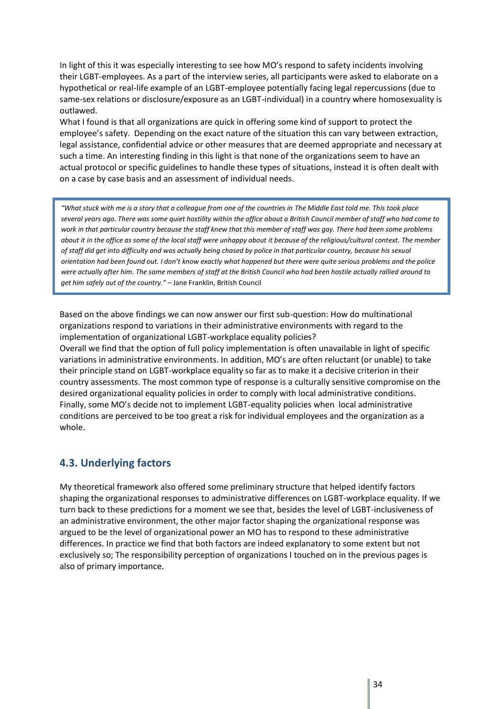In light of this it was especially interesting to see how MO's respond to safety incidents involving their LGBT-employees. As a part of the interview series, all participants were asked to elaborate on a hypothetical or real-life example of an LGBT-employee potentially facing legal repercussions (due to same-sex relations or disclosure/exposure as an LGBT-individual) in a country where homosexuality is outlawed.'

What I found is that all organizations are quick in offering some kind of support to protect the employee's safety. Depending on the exact nature of the situation this can vary between extraction, legal assistance, confidential advice or other measures that are deemed appropriate and necessary at such a time. An interesting finding in this light is that none of the organizations seem to have an actual protocol or specific guidelines to handle these types of situations, instead it is often dealt with on a case by case basis and an assessment of individual needs.

*͞tŚĂƚƐƚƵĐŬǁŝƚŚŵĞŝƐĂƐƚŽƌLJƚŚĂƚĂĐŽůůĞĂŐƵĞĨƌŽŵŽŶĞŽĨƚŚĞĐŽƵŶƚƌŝĞƐŝŶThe\*Middle\*East\*told\*me.\*This\*took\*place\* several\*years\*ago.\*There\*was\*some\*quiet\*hostility\*within\*the\*office\*about\*a\*British\*Council\*member\*of\*staff\*who\*had\*come\*to\** work in that particular country because the staff knew that this member of staff was gay. There had been some problems about it in the office as some of the local staff were unhappy about it because of the religious/cultural context. The member *of\*staff\*did\*get\*into\*difficulty\*and\*was\*actually\*being\*chased\*by\*police\*in\*that\*particular\*country,\*because\*his\*sexual\* orientation had been found out. I don't know exactly what happened but there were quite serious problems and the police* were actually after him. The same members of staff at the British Council who had been hostile actually rallied around to get him safely out of the country." - Jane Franklin, British Council

Based on the above findings we can now answer our first sub-question: How do multinational organizations' respond to variations in their administrative environments with regard to the implementation of organizational LGBT-workplace equality policies? Overall we find that the option of full policy implementation is often unavailable in light of specific variations in administrative environments. In addition, MO's are often reluctant (or unable) to take their principle stand on LGBT-workplace equality so far as to make it a decisive criterion in their country assessments. The most common type of response is a culturally sensitive compromise on the desired organizational equality policies in order to comply with local administrative conditions. Finally, some MO's decide not to implement LGBT-equality policies when local administrative conditions are perceived to be too great a risk for individual employees and the organization as a whole.

#### **4.3.'Underlying'factors'**

My theoretical framework also offered some preliminary structure that helped identify factors shaping the organizational responses to administrative differences on LGBT-workplace equality. If we turn back to these predictions for a moment we see that, besides the level of LGBT-inclusiveness of an administrative environment, the other major factor shaping the organizational response was argued to be the level of organizational power an MO has to respond to these administrative differences. In practice we find that both factors are indeed explanatory to some extent but not exclusively so; The responsibility perception of organizations I touched on in the previous pages is also of primary importance.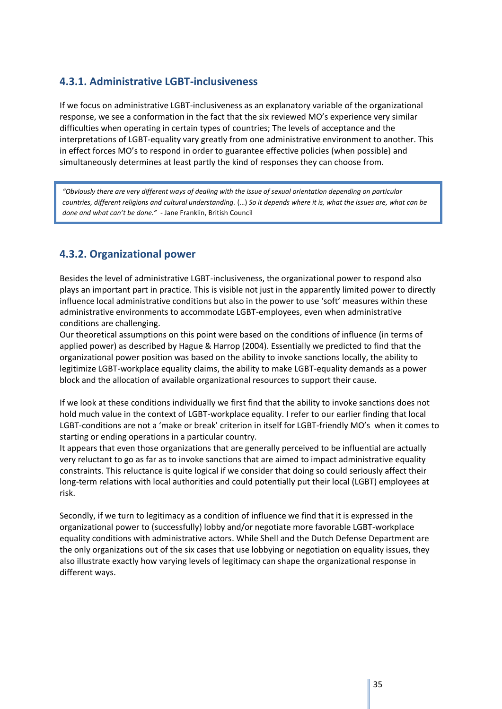#### **4.3.1. Administrative LGBT-inclusiveness**

If we focus on administrative LGBT-inclusiveness as an explanatory variable of the organizational response, we see a conformation in the fact that the six reviewed MO's experience very similar difficulties when operating in certain types of countries; The levels of acceptance and the interpretations of LGBT-equality vary greatly from one administrative environment to another. This in effect forces MO's to respond in order to guarantee effective policies (when possible) and simultaneously determines at least partly the kind of responses they can choose from.

*͞KďǀŝŽƵƐůLJƚŚĞƌĞĂƌĞǀĞƌLJĚifferent\*ways\*of\*dealing\*with\*the\*issue\*of\*sexual\*orientation\*depending\*on\*particular\** countries, different religions and cultural understanding. (...) So it depends where it is, what the issues are, what can be *done and what can't be done."* - Jane Franklin, British Council

## **4.3.2.'Organizational'power**

Besides the level of administrative LGBT-inclusiveness, the organizational power to respond also plays an important part in practice. This is visible not just in the apparently limited power to directly influence local administrative conditions but also in the power to use 'soft' measures within these administrative environments to accommodate LGBT-employees, even when administrative conditions are challenging.

Our theoretical assumptions on this point were based on the conditions of influence (in terms of applied power) as described by Hague & Harrop (2004). Essentially we predicted to find that the organizational power position was based on the ability to invoke sanctions locally, the ability to legitimize LGBT-workplace equality claims, the ability to make LGBT-equality demands as a power block and the allocation of available organizational resources to support their cause.

If we look at these conditions individually we first find that the ability to invoke sanctions does not hold much value in the context of LGBT-workplace equality. I refer to our earlier finding that local LGBT-conditions are not a 'make or break' criterion in itself for LGBT-friendly MO's when it comes to starting or ending operations in a particular country.

It appears that even those organizations that are generally perceived to be influential are actually very reluctant to go as far as to invoke sanctions that are aimed to impact administrative equality constraints. This reluctance is quite logical if we consider that doing so could seriously affect their long-term relations with local authorities and could potentially put their local (LGBT) employees at risk.

Secondly, if we turn to legitimacy as a condition of influence we find that it is expressed in the organizational power to (successfully) lobby and/or negotiate more favorable LGBT-workplace equality conditions with administrative actors. While Shell and the Dutch Defense Department are the only organizations out of the six cases that use lobbying or negotiation on equality issues, they also illustrate exactly how varying levels of legitimacy can shape the organizational response in different ways.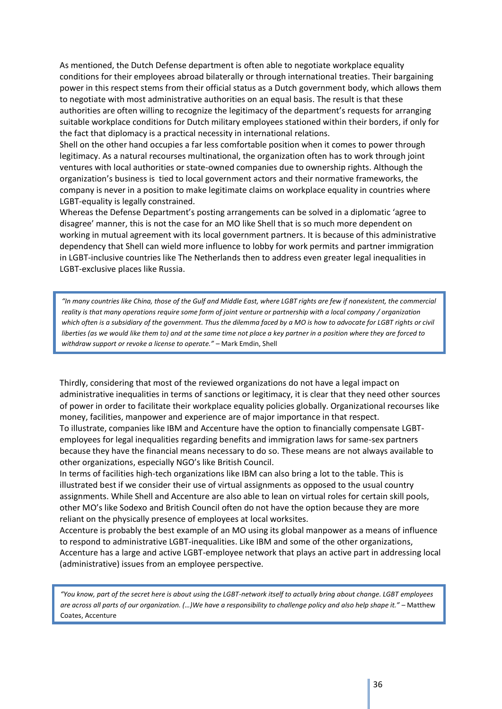As mentioned, the Dutch Defense department is often able to negotiate workplace equality conditions for their employees abroad bilaterally or through international treaties. Their bargaining power in this respect stems from their official status as a Dutch government body, which allows them to negotiate with most administrative authorities on an equal basis. The result is that these authorities are often willing to recognize the legitimacy of the department's requests for arranging suitable workplace conditions for Dutch military employees stationed within their borders, if only for the fact that diplomacy is a practical necessity in international relations.

Shell on the other hand occupies a far less comfortable position when it comes to power through legitimacy. As a natural recourses multinational, the organization often has to work through joint ventures with local authorities or state-owned companies due to ownership rights. Although the organization's business is tied to local government actors and their normative frameworks, the company is never in a position to make legitimate claims on workplace equality in countries where LGBT-equality is legally constrained.

Whereas the Defense Department's posting arrangements can be solved in a diplomatic 'agree to disagree' manner, this is not the case for an MO like Shell that is so much more dependent on working in mutual agreement with its local government partners. It is because of this administrative dependency that Shell can wield more influence to lobby for work permits and partner immigration in LGBT-inclusive countries like The Netherlands then to address even greater legal inequalities in LGBT-exclusive places like Russia.

*"In many countries like China, those of the Gulf and Middle East, where LGBT rights are few if nonexistent, the commercial* reality is that many operations require some form of joint venture or partnership with a local company / organization which often is a subsidiary of the government. Thus the dilemma faced by a MO is how to advocate for LGBT rights or civil *liberties (as we would like them to) and at the same time not place a key partner in a position where they are forced to* withdraw support or revoke a license to operate." - Mark Emdin, Shell

Thirdly, considering that most of the reviewed organizations do not have a legal impact on administrative inequalities in terms of sanctions or legitimacy, it is clear that they need other sources of power in order to facilitate their workplace equality policies globally. Organizational recourses like money, facilities, manpower and experience are of major importance in that respect.

To illustrate, companies like IBM and Accenture have the option to financially compensate LGBTemployees for legal inequalities regarding benefits and immigration laws for same-sex partners because they have the financial means necessary to do so. These means are not always available to other organizations, especially NGO's like British Council.

In terms of facilities high-tech organizations like IBM can also bring a lot to the table. This is illustrated best if we consider their use of virtual assignments as opposed to the usual country assignments. While Shell and Accenture are also able to lean on virtual roles for certain skill pools, other MO's like Sodexo and British Council often do not have the option because they are more reliant on the physically presence of employees at local worksites.

Accenture is probably the best example of an MO using its global manpower as a means of influence to respond to administrative LGBT-inequalities. Like IBM and some of the other organizations, Accenture has a large and active LGBT-employee network that plays an active part in addressing local (administrative) issues from an employee perspective.

*͞zŽƵŬŶŽǁ͕ƉĂƌƚŽĨƚŚĞƐĞĐƌĞƚŚĞƌĞŝƐĂďŽƵƚƵƐŝŶŐƚŚĞ>'d5network\*itself\*to\*actually\*bring\*about\*change.\*LGBT\*employees\* are\*across\*all parts\*of\*our\*organization. ;͙ͿWe\*have\*a\*responsibility\*to ĐŚĂůůĞŶŐĞƉŽůŝĐLJĂŶĚĂůƐŽŚĞůƉƐŚĂƉĞŝƚ͘͟*ʹ Matthew' Coates, Accenture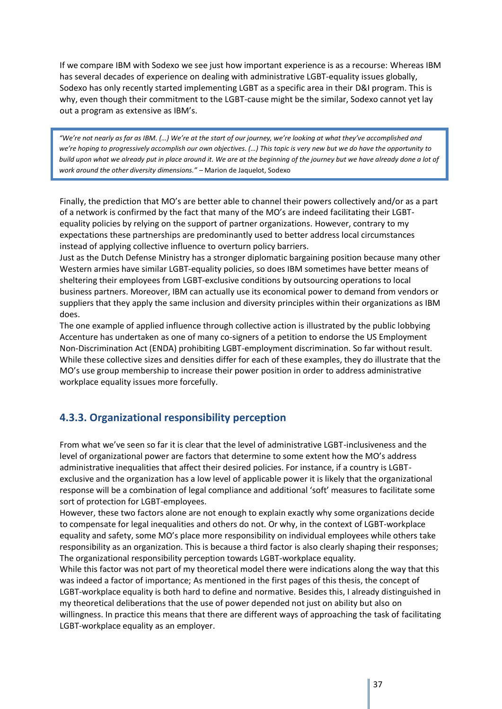If we compare IBM with Sodexo we see just how important experience is as a recourse: Whereas IBM has several decades of experience on dealing with administrative LGBT-equality issues globally, Sodexo has only recently started implementing LGBT as a specific area in their D&I program. This is why, even though their commitment to the LGBT-cause might be the similar, Sodexo cannot yet lay out a program as extensive as IBM's.

*͞tĞ͛ƌĞŶŽƚŶĞĂƌůLJĂƐĨĂƌĂƐ/D͘;͙ͿtĞ͛ƌĞĂƚƚŚĞƐƚĂƌƚŽĨŽƵƌũŽƵƌŶĞLJ͕ǁĞ͛ƌĞůŽŽŬŝŶŐĂƚǁŚĂƚƚŚĞLJ͛ǀĞĂĐĐŽŵƉůŝƐŚĞĚĂŶĚ* we're hoping to progressively accomplish our own objectives. (...) This topic is very new but we do have the opportunity to build upon what we already put in place around it. We are at the beginning of the journey but we have already done a lot of work around the other diversity dimensions." - Marion de Jaquelot, Sodexo

Finally, the prediction that MO's are better able to channel their powers collectively and/or as a part of a network is confirmed by the fact that many of the MO's are indeed facilitating their LGBTequality policies by relying on the support of partner organizations. However, contrary to my expectations these partnerships are predominantly used to better address local circumstances instead of applying collective influence to overturn policy barriers.

Just as the Dutch Defense Ministry has a stronger diplomatic bargaining position because many other Western armies have similar LGBT-equality policies, so does IBM sometimes have better means of sheltering their employees from LGBT-exclusive conditions by outsourcing operations to local business partners. Moreover, IBM can actually use its economical power to demand from vendors or suppliers that they apply the same inclusion and diversity principles within their organizations as IBM does.

The one example of applied influence through collective action is illustrated by the public lobbying Accenture has undertaken as one of many co-signers of a petition to endorse the US Employment Non-Discrimination Act (ENDA) prohibiting LGBT-employment discrimination. So far without result. While these collective sizes and densities differ for each of these examples, they do illustrate that the MO's use group membership to increase their power position in order to address administrative workplace equality issues more forcefully.

## **4.3.3.'Organizational'responsibility'perception**

From what we've seen so far it is clear that the level of administrative LGBT-inclusiveness and the level of organizational power are factors that determine to some extent how the MO's address administrative inequalities that affect their desired policies. For instance, if a country is LGBTexclusive and the organization has a low level of applicable power it is likely that the organizational response will be a combination of legal compliance and additional 'soft' measures to facilitate some sort of protection for LGBT-employees.

However, these two factors alone are not enough to explain exactly why some organizations decide to compensate for legal inequalities and others do not. Or why, in the context of LGBT-workplace equality and safety, some MO's place more responsibility on individual employees while others take responsibility as an organization. This is because a third factor is also clearly shaping their responses; The organizational responsibility perception towards LGBT-workplace equality.

While this factor was not part of my theoretical model there were indications along the way that this was indeed a factor of importance; As mentioned in the first pages of this thesis, the concept of LGBT-workplace equality is both hard to define and normative. Besides this, I already distinguished in my theoretical deliberations that the use of power depended not just on ability but also on willingness. In practice this means that there are different ways of approaching the task of facilitating LGBT-workplace equality as an employer.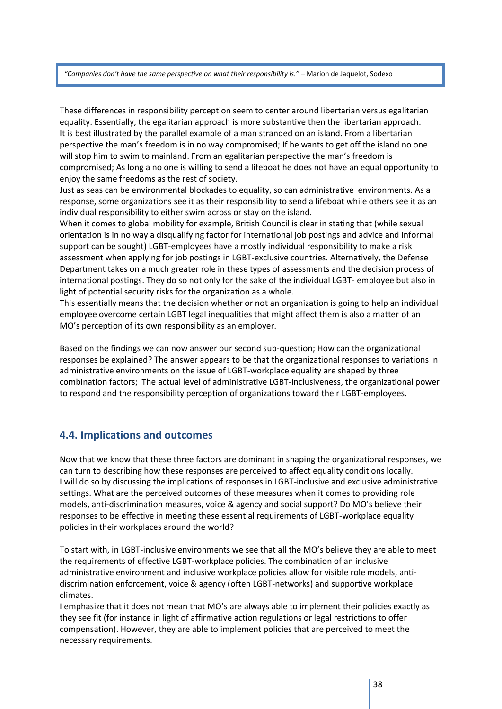#### *͞ŽŵƉĂŶŝĞƐĚŽŶ͛ƚŚĂǀĞƚŚĞƐĂŵĞƉĞƌƐƉĞĐƚŝǀĞŽŶǁŚĂƚƚŚĞŝƌƌĞƐƉŽŶƐŝďŝůŝƚLJŝƐ͘͟*ʹ Marion'de'Jaquelot, Sodexo

These differences in responsibility perception seem to center around libertarian versus egalitarian equality. Essentially, the egalitarian approach is more substantive then the libertarian approach. It is best illustrated by the parallel example of a man stranded on an island. From a libertarian perspective the man's freedom is in no way compromised; If he wants to get off the island no one will stop him to swim to mainland. From an egalitarian perspective the man's freedom is compromised; As long a no one is willing to send a lifeboat he does not have an equal opportunity to enjoy the same freedoms as the rest of society.

Just as seas can be environmental blockades to equality, so can administrative environments. As a response, some organizations see it as their responsibility to send a lifeboat while others see it as an individual responsibility to either swim across or stay on the island.

When it comes to global mobility for example, British Council is clear in stating that (while sexual orientation is in no way a disqualifying factor for international job postings and advice and informal support can be sought) LGBT-employees have a mostly individual responsibility to make a risk assessment when applying for job postings in LGBT-exclusive countries. Alternatively, the Defense Department takes on a much greater role in these types of assessments and the decision process of international postings. They do so not only for the sake of the individual LGBT- employee but also in light of potential security risks for the organization as a whole.

This essentially means that the decision whether or not an organization is going to help an individual employee overcome certain LGBT legal inequalities that might affect them is also a matter of an MO's perception of its own responsibility as an employer.

Based on the findings we can now answer our second sub-question; How can the organizational responses be explained? The answer appears to be that the organizational responses to variations in administrative environments on the issue of LGBT-workplace equality are shaped by three combination factors; The actual level of administrative LGBT-inclusiveness, the organizational power to respond and the responsibility perception of organizations toward their LGBT-employees.

#### **4.4. Implications and outcomes**

Now that we know that these three factors are dominant in shaping the organizational responses, we can turn to describing how these responses are perceived to affect equality conditions locally. I will do so by discussing the implications of responses in LGBT-inclusive and exclusive administrative settings. What are the perceived outcomes of these measures when it comes to providing role models, anti-discrimination measures, voice & agency and social support? Do MO's believe their responses to be effective in meeting these essential requirements of LGBT-workplace equality policies in their workplaces around the world?

To start with, in LGBT-inclusive environments we see that all the MO's believe they are able to meet the requirements of effective LGBT-workplace policies. The combination of an inclusive administrative environment and inclusive workplace policies allow for visible role models, antidiscrimination enforcement, voice & agency (often LGBT-networks) and supportive workplace climates.'

I emphasize that it does not mean that MO's are always able to implement their policies exactly as they see fit (for instance in light of affirmative action regulations or legal restrictions to offer compensation). However, they are able to implement policies that are perceived to meet the necessary requirements.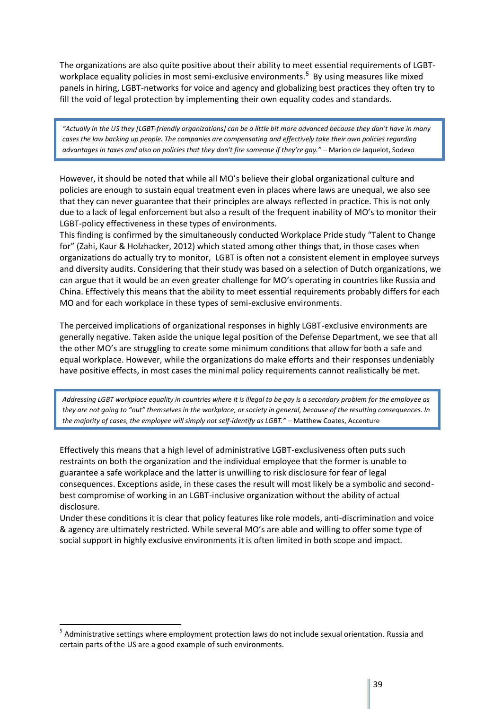The organizations are also quite positive about their ability to meet essential requirements of LGBTworkplace equality policies in most semi-exclusive environments.<sup>5</sup> By using measures like mixed panels in hiring, LGBT-networks for voice and agency and globalizing best practices they often try to fill the void of legal protection by implementing their own equality codes and standards.

*"Actually in the US they [LGBT-friendly organizations] can be a little bit more advanced because they don't have in many* cases the law backing up people. The companies are compensating and effectively take their own policies regarding advantages in taxes and also on policies that they don't fire someone if they're gay." - Marion de Jaquelot, Sodexo

However, it should be noted that while all MO's believe their global organizational culture and policies are enough to sustain equal treatment even in places where laws are unequal, we also see that they can never guarantee that their principles are always reflected in practice. This is not only due to a lack of legal enforcement but also a result of the frequent inability of MO's to monitor their LGBT-policy effectiveness in these types of environments.

This finding is confirmed by the simultaneously conducted Workplace Pride study "Talent to Change for" (Zahi, Kaur & Holzhacker, 2012) which stated among other things that, in those cases when organizations do actually try to monitor, LGBT is often not a consistent element in employee surveys and diversity audits. Considering that their study was based on a selection of Dutch organizations, we can argue that it would be an even greater challenge for MO's operating in countries like Russia and China. Effectively this means that the ability to meet essential requirements probably differs for each MO and for each workplace in these types of semi-exclusive environments.

The perceived implications of organizational responses in highly LGBT-exclusive environments are generally negative. Taken aside the unique legal position of the Defense Department, we see that all the other MO's are struggling to create some minimum conditions that allow for both a safe and equal workplace. However, while the organizations do make efforts and their responses undeniably have positive effects, in most cases the minimal policy requirements cannot realistically be met.

*Addressing\*LGBT\*workplace\*equality\*in\*countries\*where\*it\*is\*illegal\*to\*be\*gay\*is\*a\*secondary\*problem\*for\*the\*employee as\* they are not going to "out" themselves in the workplace, or society in general, because of the resulting consequences. In* the majority of cases, the employee will simply not self-identify as LGBT." - Matthew Coates, Accenture

Effectively this means that a high level of administrative LGBT-exclusiveness often puts such restraints on both the organization and the individual employee that the former is unable to guarantee a safe workplace and the latter is unwilling to risk disclosure for fear of legal consequences. Exceptions aside, in these cases the result will most likely be a symbolic and secondbest compromise of working in an LGBT-inclusive organization without the ability of actual disclosure.

Under these conditions it is clear that policy features like role models, anti-discrimination and voice & agency are ultimately restricted. While several MO's are able and willing to offer some type of social support in highly exclusive environments it is often limited in both scope and impact.

<sup>&</sup>lt;sup>5</sup> Administrative settings where employment protection laws do not include sexual orientation. Russia and certain parts of the US are a good example of such environments.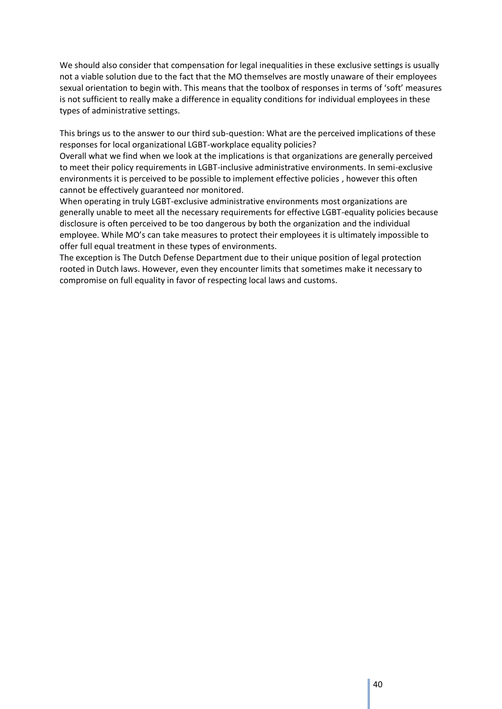We should also consider that compensation for legal inequalities in these exclusive settings is usually not a viable solution due to the fact that the MO themselves are mostly unaware of their employees sexual orientation to begin with. This means that the toolbox of responses in terms of 'soft' measures is not sufficient to really make a difference in equality conditions for individual employees in these types of administrative settings.

This brings us to the answer to our third sub-question: What are the perceived implications of these responses for local organizational LGBT-workplace equality policies?

Overall what we find when we look at the implications is that organizations are generally perceived to meet their policy requirements in LGBT-inclusive administrative environments. In semi-exclusive environments it is perceived to be possible to implement effective policies, however this often cannot be effectively guaranteed nor monitored.

When operating in truly LGBT-exclusive administrative environments most organizations are generally unable to meet all the necessary requirements for effective LGBT-equality policies because disclosure is often perceived to be too dangerous by both the organization and the individual employee. While MO's can take measures to protect their employees it is ultimately impossible to offer full equal treatment in these types of environments.

The exception is The Dutch Defense Department due to their unique position of legal protection rooted in Dutch laws. However, even they encounter limits that sometimes make it necessary to compromise on full equality in favor of respecting local laws and customs.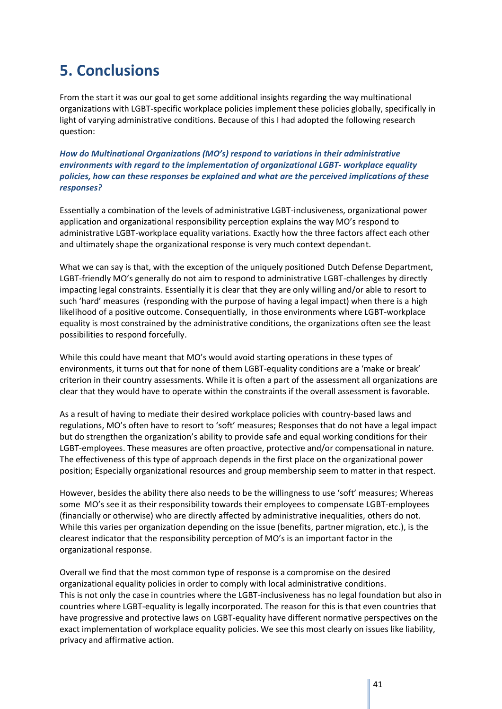## **5. Conclusions**

From the start it was our goal to get some additional insights regarding the way multinational organizations with LGBT-specific workplace policies implement these policies globally, specifically in light of varying administrative conditions. Because of this I had adopted the following research question:'

*How do Multinational Organizations (MO's) respond to variations in their administrative environments\*with\*regard\*to\*the\*implementation\*of\*organizational\*LGBT8 workplace\*equality\* policies,\*how\*can\*these\*responses\*be\*explained\*and\*what\*are\*the\*perceived\*implications\*of\*these\* responses?*

Essentially a combination of the levels of administrative LGBT-inclusiveness, organizational power application and organizational responsibility perception explains the way MO's respond to administrative LGBT-workplace equality variations. Exactly how the three factors affect each other and ultimately shape the organizational response is very much context dependant.

What we can say is that, with the exception of the uniquely positioned Dutch Defense Department, LGBT-friendly MO's generally do not aim to respond to administrative LGBT-challenges by directly impacting legal constraints. Essentially it is clear that they are only willing and/or able to resort to such 'hard' measures (responding with the purpose of having a legal impact) when there is a high likelihood of a positive outcome. Consequentially, in those environments where LGBT-workplace equality is most constrained by the administrative conditions, the organizations often see the least possibilities to respond forcefully.

While this could have meant that MO's would avoid starting operations in these types of environments, it turns out that for none of them LGBT-equality conditions are a 'make or break' criterion in their country assessments. While it is often a part of the assessment all organizations are clear that they would have to operate within the constraints if the overall assessment is favorable.

As a result of having to mediate their desired workplace policies with country-based laws and regulations, MO's often have to resort to 'soft' measures; Responses that do not have a legal impact but do strengthen the organization's ability to provide safe and equal working conditions for their LGBT-employees. These measures are often proactive, protective and/or compensational in nature. The effectiveness of this type of approach depends in the first place on the organizational power' position; Especially organizational resources and group membership seem to matter in that respect.

However, besides the ability there also needs to be the willingness to use 'soft' measures; Whereas some MO's see it as their responsibility towards their employees to compensate LGBT-employees (financially or otherwise) who are directly affected by administrative inequalities, others do not. While this varies per organization depending on the issue (benefits, partner migration, etc.), is the clearest indicator that the responsibility perception of MO's is an important factor in the organizational response.

Overall we find that the most common type of response is a compromise on the desired organizational equality policies in order to comply with local administrative conditions. This is not only the case in countries where the LGBT-inclusiveness has no legal foundation but also in countries where LGBT-equality is legally incorporated. The reason for this is that even countries that have progressive and protective laws on LGBT-equality have different normative perspectives on the exact implementation of workplace equality policies. We see this most clearly on issues like liability, privacy and affirmative action.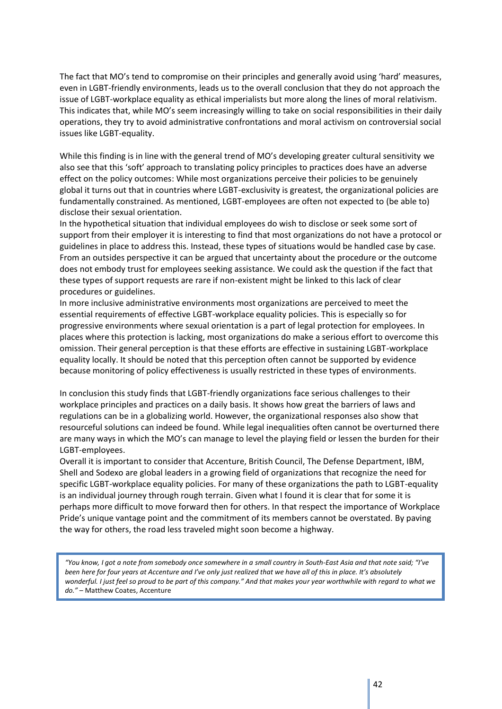The fact that MO's tend to compromise on their principles and generally avoid using 'hard' measures, even in LGBT-friendly environments, leads us to the overall conclusion that they do not approach the issue of LGBT-workplace equality as ethical imperialists but more along the lines of moral relativism. This indicates that, while MO's seem increasingly willing to take on social responsibilities in their daily operations, they try to avoid administrative confrontations and moral activism on controversial social issues like LGBT-equality.

While this finding is in line with the general trend of MO's developing greater cultural sensitivity we also see that this 'soft' approach to translating policy principles to practices does have an adverse effect on the policy outcomes: While most organizations perceive their policies to be genuinely global it turns out that in countries where LGBT-exclusivity is greatest, the organizational policies are fundamentally constrained. As mentioned, LGBT-employees are often not expected to (be able to) disclose their sexual orientation.

In the hypothetical situation that individual employees do wish to disclose or seek some sort of support from their employer it is interesting to find that most organizations do not have a protocol or guidelines in place to address this. Instead, these types of situations would be handled case by case. From an outsides perspective it can be argued that uncertainty about the procedure or the outcome does not embody trust for employees seeking assistance. We could ask the question if the fact that these types of support requests are rare if non-existent might be linked to this lack of clear procedures or guidelines.

In more inclusive administrative environments most organizations are perceived to meet the essential requirements of effective LGBT-workplace equality policies. This is especially so for progressive environments where sexual orientation is a part of legal protection for employees. In places where this protection is lacking, most organizations do make a serious effort to overcome this omission. Their general perception is that these efforts are effective in sustaining LGBT-workplace equality locally. It should be noted that this perception often cannot be supported by evidence because monitoring of policy effectiveness is usually restricted in these types of environments.

In conclusion this study finds that LGBT-friendly organizations face serious challenges to their workplace principles and practices on a daily basis. It shows how great the barriers of laws and regulations can be in a globalizing world. However, the organizational responses also show that resourceful solutions can indeed be found. While legal inequalities often cannot be overturned there are many ways in which the MO's can manage to level the playing field or lessen the burden for their LGBT-employees.

Overall it is important to consider that Accenture, British Council, The Defense Department, IBM, Shell and Sodexo are global leaders in a growing field of organizations that recognize the need for specific LGBT-workplace equality policies. For many of these organizations the path to LGBT-equality is an individual journey through rough terrain. Given what I found it is clear that for some it is perhaps more difficult to move forward then for others. In that respect the importance of Workplace Pride's unique vantage point and the commitment of its members cannot be overstated. By paving the way for others, the road less traveled might soon become a highway.

*͞zŽƵŬŶŽǁ͕/ŐŽƚĂŶŽƚĞĨƌŽŵƐŽŵĞďŽĚLJŽŶĐĞƐŽŵĞǁŚĞƌĞŝŶĂ small\*country\*in\*South5ĂƐƚƐŝĂĂŶĚƚŚĂƚŶŽƚĞƐĂŝĚ͖͞/͛ǀĞ been here for four years at Accenture and I've only just realized that we have all of this in place. It's absolutely* wonderful. *I just feel so proud to be part of this company."* And that makes your year worthwhile with regard to what we do." - Matthew Coates, Accenture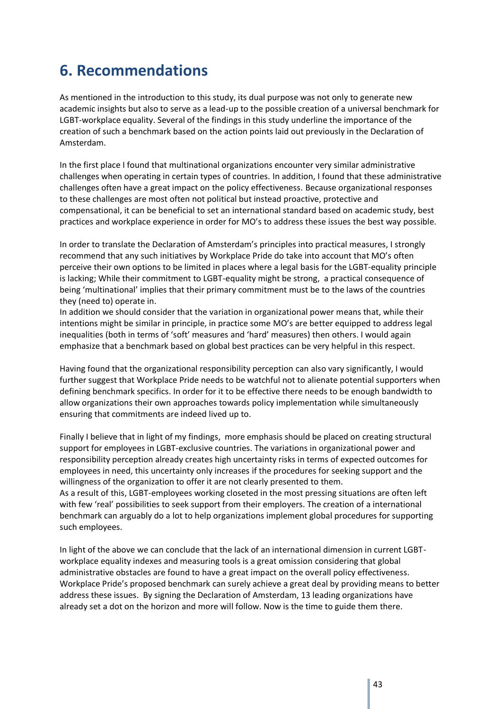## **6.'Recommendations**

As mentioned in the introduction to this study, its dual purpose was not only to generate new academic insights but also to serve as a lead-up to the possible creation of a universal benchmark for LGBT-workplace equality. Several of the findings in this study underline the importance of the creation of such a benchmark based on the action points laid out previously in the Declaration of Amsterdam.

In the first place I found that multinational organizations encounter very similar administrative challenges when operating in certain types of countries. In addition, I found that these administrative challenges often have a great impact on the policy effectiveness. Because organizational responses to these challenges are most often not political but instead proactive, protective and compensational, it can be beneficial to set an international standard based on academic study, best practices and workplace experience in order for MO's to address these issues the best way possible.

In order to translate the Declaration of Amsterdam's principles into practical measures, I strongly recommend that any such initiatives by Workplace Pride do take into account that MO's often perceive their own options to be limited in places where a legal basis for the LGBT-equality principle is lacking; While their commitment to LGBT-equality might be strong, a practical consequence of being 'multinational' implies that their primary commitment must be to the laws of the countries they (need to) operate in.

In addition we should consider that the variation in organizational power means that, while their intentions might be similar in principle, in practice some MO's are better equipped to address legal inequalities (both in terms of 'soft' measures and 'hard' measures) then others. I would again emphasize that a benchmark based on global best practices can be very helpful in this respect.

Having found that the organizational responsibility perception can also vary significantly, I would further suggest that Workplace Pride needs to be watchful not to alienate potential supporters when defining benchmark specifics. In order for it to be effective there needs to be enough bandwidth to allow organizations their own approaches towards policy implementation while simultaneously ensuring that commitments are indeed lived up to.

Finally I believe that in light of my findings, more emphasis should be placed on creating structural support for employees in LGBT-exclusive countries. The variations in organizational power and responsibility perception already creates high uncertainty risks in terms of expected outcomes for employees in need, this uncertainty only increases if the procedures for seeking support and the willingness of the organization to offer it are not clearly presented to them.

As a result of this, LGBT-employees working closeted in the most pressing situations are often left with few 'real' possibilities to seek support from their employers. The creation of a international benchmark can arguably do a lot to help organizations implement global procedures for supporting such employees.

In light of the above we can conclude that the lack of an international dimension in current LGBTworkplace equality indexes and measuring tools is a great omission considering that global administrative obstacles are found to have a great impact on the overall policy effectiveness. Workplace Pride's proposed benchmark can surely achieve a great deal by providing means to better address these issues. By signing the Declaration of Amsterdam, 13 leading organizations have already set a dot on the horizon and more will follow. Now is the time to guide them there.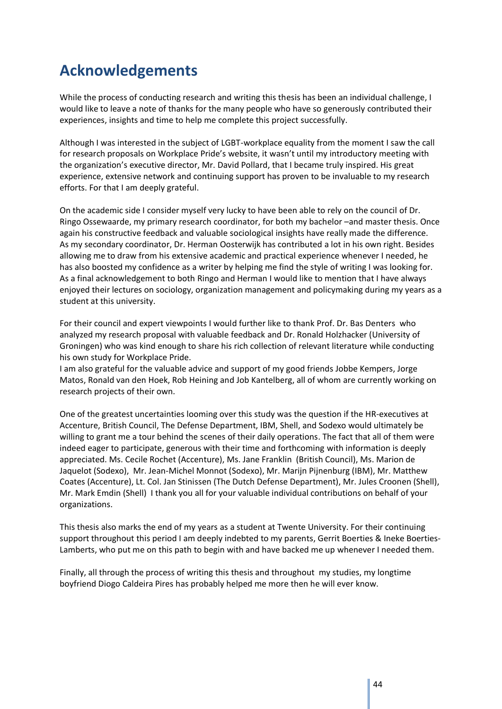## **Acknowledgements**

While the process of conducting research and writing this thesis has been an individual challenge, I would like to leave a note of thanks for the many people who have so generously contributed their experiences, insights and time to help me complete this project successfully.

Although I was interested in the subject of LGBT-workplace equality from the moment I saw the call for research proposals on Workplace Pride's website, it wasn't until my introductory meeting with the organization's executive director, Mr. David Pollard, that I became truly inspired. His great experience, extensive network and continuing support has proven to be invaluable to my research efforts. For that I am deeply grateful.

On the academic side I consider myself very lucky to have been able to rely on the council of Dr. Ringo Ossewaarde, my primary research coordinator, for both my bachelor -and master thesis. Once again his constructive feedback and valuable sociological insights have really made the difference. As my secondary coordinator, Dr. Herman Oosterwijk has contributed a lot in his own right. Besides allowing me to draw from his extensive academic and practical experience whenever I needed, he has also boosted my confidence as a writer by helping me find the style of writing I was looking for. As a final acknowledgement to both Ringo and Herman I would like to mention that I have always enjoyed their lectures on sociology, organization management and policymaking during my years as a student at this university.

For their council and expert viewpoints I would further like to thank Prof. Dr. Bas Denters' who analyzed my research proposal with valuable feedback and Dr. Ronald Holzhacker (University of Groningen) who was kind enough to share his rich collection of relevant literature while conducting his own study for Workplace Pride.

I am also grateful for the valuable advice and support of my good friends Jobbe Kempers, Jorge Matos, Ronald van den Hoek, Rob Heining and Job Kantelberg, all of whom are currently working on research projects of their own.

One of the greatest uncertainties looming over this study was the question if the HR-executives at Accenture, British Council, The Defense Department, IBM, Shell, and Sodexo would ultimately be willing to grant me a tour behind the scenes of their daily operations. The fact that all of them were indeed eager to participate, generous with their time and forthcoming with information is deeply appreciated. Ms. Cecile Rochet (Accenture), Ms. Jane Franklin (British Council), Ms. Marion de Jaquelot (Sodexo), Mr. Jean-Michel Monnot (Sodexo), Mr. Marijn Pijnenburg (IBM), Mr. Matthew Coates (Accenture), Lt. Col. Jan Stinissen (The Dutch Defense Department), Mr. Jules Croonen (Shell), Mr. Mark Emdin (Shell) I thank you all for your valuable individual contributions on behalf of your organizations.

This thesis also marks the end of my years as a student at Twente University. For their continuing support throughout this period I am deeply indebted to my parents, Gerrit Boerties & Ineke Boerties-Lamberts, who put me on this path to begin with and have backed me up whenever I needed them.

Finally, all through the process of writing this thesis and throughout my studies, my longtime boyfriend Diogo Caldeira Pires has probably helped me more then he will ever know.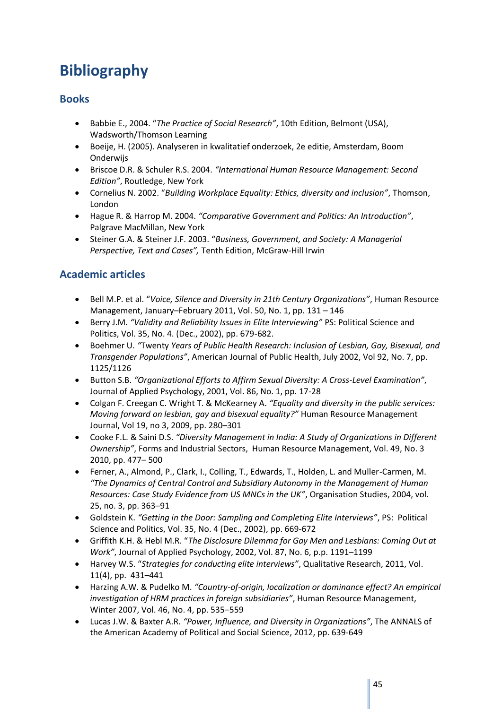# **Bibliography**

### **Books**

- Babbie E., 2004. "The Practice of Social Research", 10th Edition, Belmont (USA), Wadsworth/Thomson Learning
- Boeije, H. (2005). Analyseren in kwalitatief onderzoek, 2e editie, Amsterdam, Boom Onderwijs
- **•** Briscoe D.R. & Schuler R.S. 2004. "International Human Resource Management: Second *Edition"*, Routledge, New York
- Cornelius N. 2002. "Building Workplace Equality: Ethics, diversity and inclusion", Thomson, London
- Hague R. & Harrop M. 2004. "Comparative Government and Politics: An Introduction", Palgrave MacMillan, New York
- Steiner G.A. & Steiner J.F. 2003. "Business, Government, and Society: A Managerial Perspective, Text and Cases", Tenth Edition, McGraw-Hill Irwin

## **Academic'articles**

- Bell M.P. et al. "Voice, Silence and Diversity in 21th Century Organizations", Human Resource Management, January-February 2011, Vol. 50, No. 1, pp. 131 - 146
- Berry J.M. "Validity and Reliability Issues in Elite Interviewing" PS: Political Science and Politics, Vol. 35, No. 4. (Dec., 2002), pp. 679-682.
- Boehmer U. "Twenty Years of Public Health Research: Inclusion of Lesbian, Gay, Bisexual, and *Transgender Populations"*, American Journal of Public Health, July 2002, Vol 92, No. 7, pp. 1125/1126
- Button S.B. "Organizational Efforts to Affirm Sexual Diversity: A Cross-Level Examination", Journal of Applied Psychology, 2001, Vol. 86, No. 1, pp. 17-28
- Colgan F. Creegan C. Wright T. & McKearney A. "Equality and diversity in the public services: *Moving forward on lesbian, gay and bisexual equality?"* Human Resource Management Journal, Vol 19, no 3, 2009, pp. 280-301
- Cooke F.L. & Saini D.S. "Diversity Management in India: A Study of Organizations in Different *Ownership"*, Forms and Industrial Sectors, Human Resource Management, Vol. 49, No. 3 2010, pp. 477–500
- Ferner, A., Almond, P., Clark, I., Colling, T., Edwards, T., Holden, L. and Muller-Carmen, M. *The Dynamics of Central Control and Subsidiary Autonomy in the Management of Human Resources: Case Study Evidence from US MNCs in the UK"*, Organisation Studies, 2004, vol. 25, no. 3, pp. 363-91
- Goldstein K. "Getting in the Door: Sampling and Completing Elite Interviews", PS: Political Science and Politics, Vol. 35, No. 4 (Dec., 2002), pp. 669-672
- Griffith K.H. & Hebl M.R. "The Disclosure Dilemma for Gay Men and Lesbians: Coming Out at *Work"*, Journal of Applied Psychology, 2002, Vol. 87, No. 6, p.p. 1191-1199
- Harvey W.S. "Strategies for conducting elite interviews", Qualitative Research, 2011, Vol. 11(4), pp. 431-441
- **•** Harzing A.W. & Pudelko M. "Country-of-origin, localization or dominance effect? An empirical *investigation of HRM practices in foreign subsidiaries*", Human Resource Management, Winter 2007, Vol. 46, No. 4, pp. 535-559
- Lucas J.W. & Baxter A.R. "Power, *Influence, and Diversity in Organizations*", The ANNALS of the American Academy of Political and Social Science, 2012, pp. 639-649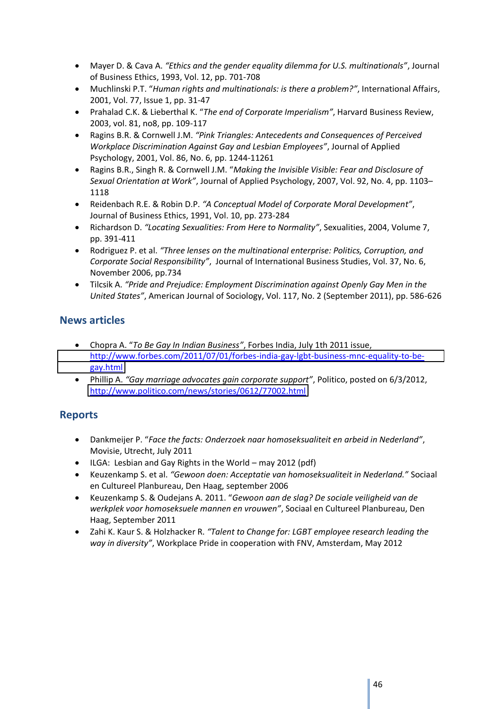- Mayer D. & Cava A. "*Ethics and the gender equality dilemma for U.S. multinationals"*, Journal of Business Ethics, 1993, Vol. 12, pp. 701-708
- ◆ Muchlinski P.T. "Human rights and multinationals: is there a problem?", International Affairs, 2001, Vol. 77, Issue 1, pp. 31-47
- Prahalad C.K. & Lieberthal K. "The end of Corporate *Imperialism"*, Harvard Business Review, 2003, vol. 81, no8, pp. 109-117
- Ragins B.R. & Cornwell J.M. "Pink Triangles: Antecedents and Consequences of Perceived *Workplace Discrimination Against Gay and Lesbian Employees"*, Journal of Applied Psychology, 2001, Vol. 86, No. 6, pp. 1244-11261
- Ragins B.R., Singh R. & Cornwell J.M. "Making the Invisible Visible: Fear and Disclosure of *Sexual Orientation at Work"*, Journal of Applied Psychology, 2007, Vol. 92, No. 4, pp. 1103– 1118
- Reidenbach R.E. & Robin D.P. "A Conceptual Model of Corporate Moral Development", Journal of Business Ethics, 1991, Vol. 10, pp. 273-284
- ◆ Richardson D. "Locating Sexualities: From Here to Normality", Sexualities, 2004, Volume 7, pp. 391-411
- Rodriguez P. et al. "Three lenses on the multinational enterprise: Politics, Corruption, and *Corporate Social Responsibility"*, Journal of International Business Studies, Vol. 37, No. 6, November 2006, pp.734
- Tilcsik A. "Pride and Prejudice: Employment Discrimination against Openly Gay Men in the *United States"*, American Journal of Sociology, Vol. 117, No. 2 (September 2011), pp. 586-626

#### **News'articles**

- Chopra A. "To Be Gay In Indian Business", Forbes India, July 1th 2011 issue, http://www.forbes.com/2011/07/01/forbes-india-gay-lgbt-business-mnc-equality-to-be[gay.html](http://www.forbes.com/2011/07/01/forbes-india-gay-lgbt-business-mnc-equality-to-be-gay.html)
- Phillip A. "Gay marriage advocates gain corporate support", Politico, posted on 6/3/2012, <http://www.politico.com/news/stories/0612/77002.html>

#### **Reports**

- ◆ Dankmeijer P. "Face the facts: Onderzoek naar homoseksualiteit en arbeid in Nederland", Movisie, Utrecht, July 2011
- ILGA: Lesbian and Gay Rights in the World may 2012 (pdf)
- Keuzenkamp S. et al. "Gewoon doen: Acceptatie van homoseksualiteit in Nederland." Sociaal en Cultureel Planbureau, Den Haag, september 2006
- **•** Keuzenkamp S. & Oudejans A. 2011. "Gewoon aan de slag? De sociale veiligheid van de werkplek voor homoseksuele mannen en vrouwen", Sociaal en Cultureel Planbureau, Den Haag, September 2011
- Zahi K. Kaur S. & Holzhacker R. "Talent to Change for: LGBT employee research leading the way in diversity", Workplace Pride in cooperation with FNV, Amsterdam, May 2012